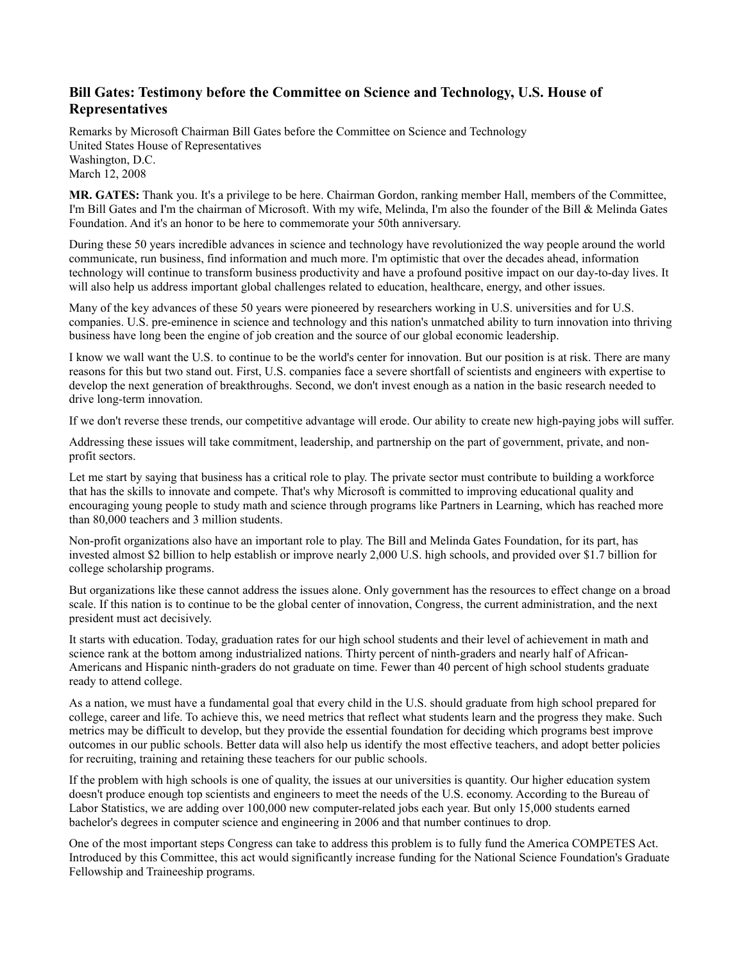# **Bill Gates: Testimony before the Committee on Science and Technology, U.S. House of Representatives**

Remarks by Microsoft Chairman Bill Gates before the Committee on Science and Technology United States House of Representatives Washington, D.C. March 12, 2008

**MR. GATES:** Thank you. It's a privilege to be here. Chairman Gordon, ranking member Hall, members of the Committee, I'm Bill Gates and I'm the chairman of Microsoft. With my wife, Melinda, I'm also the founder of the Bill & Melinda Gates Foundation. And it's an honor to be here to commemorate your 50th anniversary.

During these 50 years incredible advances in science and technology have revolutionized the way people around the world communicate, run business, find information and much more. I'm optimistic that over the decades ahead, information technology will continue to transform business productivity and have a profound positive impact on our day-to-day lives. It will also help us address important global challenges related to education, healthcare, energy, and other issues.

Many of the key advances of these 50 years were pioneered by researchers working in U.S. universities and for U.S. companies. U.S. pre-eminence in science and technology and this nation's unmatched ability to turn innovation into thriving business have long been the engine of job creation and the source of our global economic leadership.

I know we wall want the U.S. to continue to be the world's center for innovation. But our position is at risk. There are many reasons for this but two stand out. First, U.S. companies face a severe shortfall of scientists and engineers with expertise to develop the next generation of breakthroughs. Second, we don't invest enough as a nation in the basic research needed to drive long-term innovation.

If we don't reverse these trends, our competitive advantage will erode. Our ability to create new high-paying jobs will suffer.

Addressing these issues will take commitment, leadership, and partnership on the part of government, private, and nonprofit sectors.

Let me start by saying that business has a critical role to play. The private sector must contribute to building a workforce that has the skills to innovate and compete. That's why Microsoft is committed to improving educational quality and encouraging young people to study math and science through programs like Partners in Learning, which has reached more than 80,000 teachers and 3 million students.

Non-profit organizations also have an important role to play. The Bill and Melinda Gates Foundation, for its part, has invested almost \$2 billion to help establish or improve nearly 2,000 U.S. high schools, and provided over \$1.7 billion for college scholarship programs.

But organizations like these cannot address the issues alone. Only government has the resources to effect change on a broad scale. If this nation is to continue to be the global center of innovation, Congress, the current administration, and the next president must act decisively.

It starts with education. Today, graduation rates for our high school students and their level of achievement in math and science rank at the bottom among industrialized nations. Thirty percent of ninth-graders and nearly half of African-Americans and Hispanic ninth-graders do not graduate on time. Fewer than 40 percent of high school students graduate ready to attend college.

As a nation, we must have a fundamental goal that every child in the U.S. should graduate from high school prepared for college, career and life. To achieve this, we need metrics that reflect what students learn and the progress they make. Such metrics may be difficult to develop, but they provide the essential foundation for deciding which programs best improve outcomes in our public schools. Better data will also help us identify the most effective teachers, and adopt better policies for recruiting, training and retaining these teachers for our public schools.

If the problem with high schools is one of quality, the issues at our universities is quantity. Our higher education system doesn't produce enough top scientists and engineers to meet the needs of the U.S. economy. According to the Bureau of Labor Statistics, we are adding over 100,000 new computer-related jobs each year. But only 15,000 students earned bachelor's degrees in computer science and engineering in 2006 and that number continues to drop.

One of the most important steps Congress can take to address this problem is to fully fund the America COMPETES Act. Introduced by this Committee, this act would significantly increase funding for the National Science Foundation's Graduate Fellowship and Traineeship programs.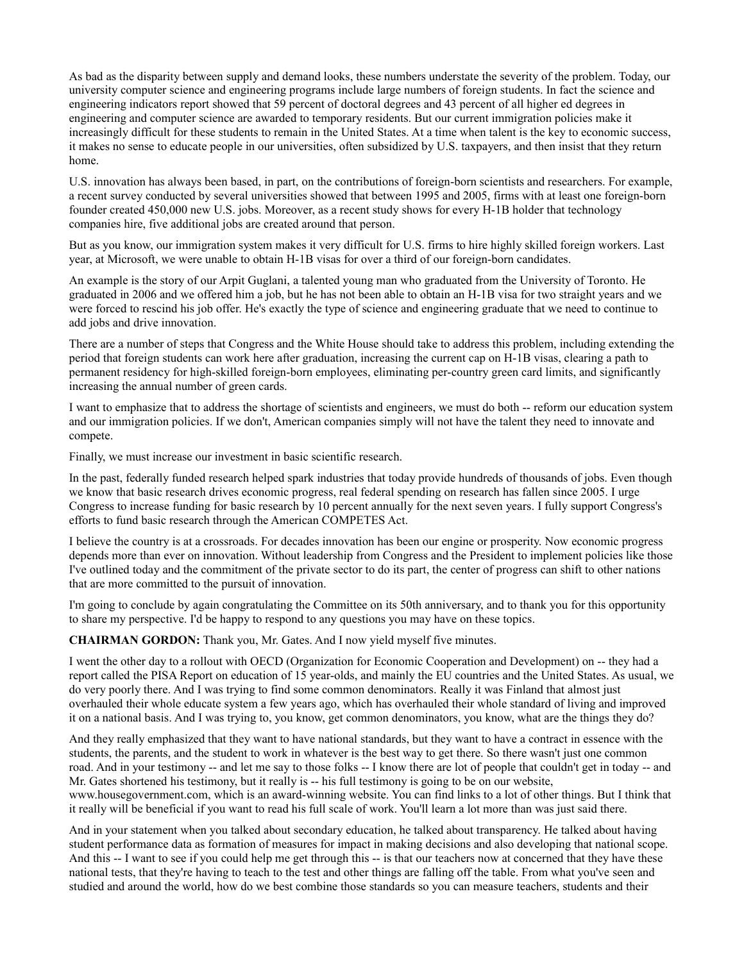As bad as the disparity between supply and demand looks, these numbers understate the severity of the problem. Today, our university computer science and engineering programs include large numbers of foreign students. In fact the science and engineering indicators report showed that 59 percent of doctoral degrees and 43 percent of all higher ed degrees in engineering and computer science are awarded to temporary residents. But our current immigration policies make it increasingly difficult for these students to remain in the United States. At a time when talent is the key to economic success, it makes no sense to educate people in our universities, often subsidized by U.S. taxpayers, and then insist that they return home.

U.S. innovation has always been based, in part, on the contributions of foreign-born scientists and researchers. For example, a recent survey conducted by several universities showed that between 1995 and 2005, firms with at least one foreign-born founder created 450,000 new U.S. jobs. Moreover, as a recent study shows for every H-1B holder that technology companies hire, five additional jobs are created around that person.

But as you know, our immigration system makes it very difficult for U.S. firms to hire highly skilled foreign workers. Last year, at Microsoft, we were unable to obtain H-1B visas for over a third of our foreign-born candidates.

An example is the story of our Arpit Guglani, a talented young man who graduated from the University of Toronto. He graduated in 2006 and we offered him a job, but he has not been able to obtain an H-1B visa for two straight years and we were forced to rescind his job offer. He's exactly the type of science and engineering graduate that we need to continue to add jobs and drive innovation.

There are a number of steps that Congress and the White House should take to address this problem, including extending the period that foreign students can work here after graduation, increasing the current cap on H-1B visas, clearing a path to permanent residency for high-skilled foreign-born employees, eliminating per-country green card limits, and significantly increasing the annual number of green cards.

I want to emphasize that to address the shortage of scientists and engineers, we must do both -- reform our education system and our immigration policies. If we don't, American companies simply will not have the talent they need to innovate and compete.

Finally, we must increase our investment in basic scientific research.

In the past, federally funded research helped spark industries that today provide hundreds of thousands of jobs. Even though we know that basic research drives economic progress, real federal spending on research has fallen since 2005. I urge Congress to increase funding for basic research by 10 percent annually for the next seven years. I fully support Congress's efforts to fund basic research through the American COMPETES Act.

I believe the country is at a crossroads. For decades innovation has been our engine or prosperity. Now economic progress depends more than ever on innovation. Without leadership from Congress and the President to implement policies like those I've outlined today and the commitment of the private sector to do its part, the center of progress can shift to other nations that are more committed to the pursuit of innovation.

I'm going to conclude by again congratulating the Committee on its 50th anniversary, and to thank you for this opportunity to share my perspective. I'd be happy to respond to any questions you may have on these topics.

**CHAIRMAN GORDON:** Thank you, Mr. Gates. And I now yield myself five minutes.

I went the other day to a rollout with OECD (Organization for Economic Cooperation and Development) on -- they had a report called the PISA Report on education of 15 year-olds, and mainly the EU countries and the United States. As usual, we do very poorly there. And I was trying to find some common denominators. Really it was Finland that almost just overhauled their whole educate system a few years ago, which has overhauled their whole standard of living and improved it on a national basis. And I was trying to, you know, get common denominators, you know, what are the things they do?

And they really emphasized that they want to have national standards, but they want to have a contract in essence with the students, the parents, and the student to work in whatever is the best way to get there. So there wasn't just one common road. And in your testimony -- and let me say to those folks -- I know there are lot of people that couldn't get in today -- and Mr. Gates shortened his testimony, but it really is -- his full testimony is going to be on our website,

www.housegovernment.com, which is an award-winning website. You can find links to a lot of other things. But I think that it really will be beneficial if you want to read his full scale of work. You'll learn a lot more than was just said there.

And in your statement when you talked about secondary education, he talked about transparency. He talked about having student performance data as formation of measures for impact in making decisions and also developing that national scope. And this -- I want to see if you could help me get through this -- is that our teachers now at concerned that they have these national tests, that they're having to teach to the test and other things are falling off the table. From what you've seen and studied and around the world, how do we best combine those standards so you can measure teachers, students and their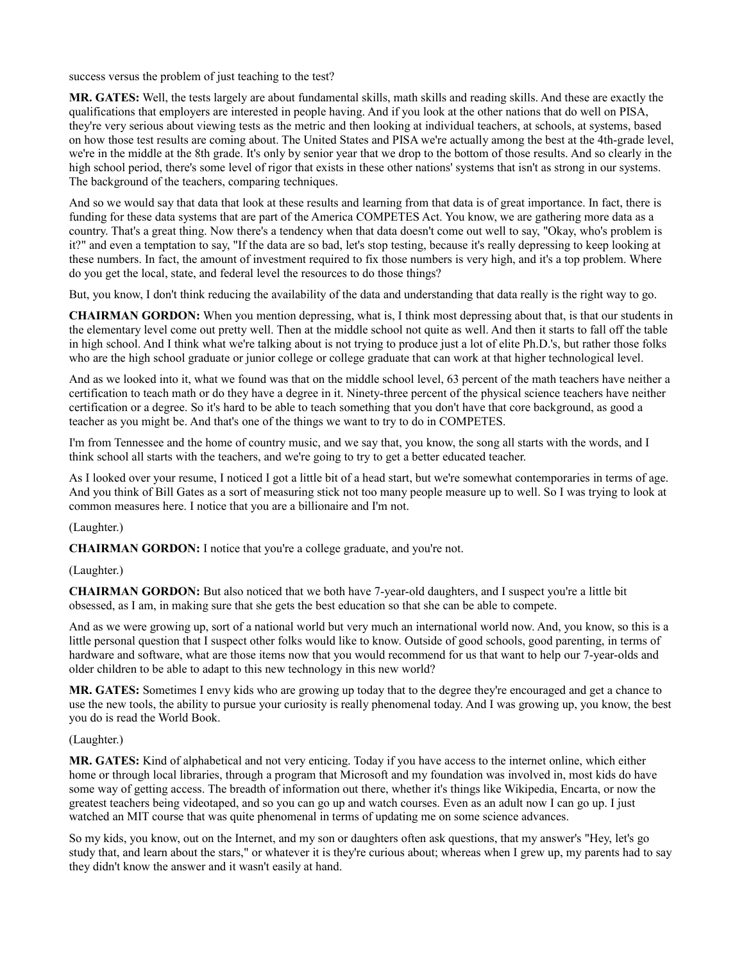success versus the problem of just teaching to the test?

**MR. GATES:** Well, the tests largely are about fundamental skills, math skills and reading skills. And these are exactly the qualifications that employers are interested in people having. And if you look at the other nations that do well on PISA, they're very serious about viewing tests as the metric and then looking at individual teachers, at schools, at systems, based on how those test results are coming about. The United States and PISA we're actually among the best at the 4th-grade level, we're in the middle at the 8th grade. It's only by senior year that we drop to the bottom of those results. And so clearly in the high school period, there's some level of rigor that exists in these other nations' systems that isn't as strong in our systems. The background of the teachers, comparing techniques.

And so we would say that data that look at these results and learning from that data is of great importance. In fact, there is funding for these data systems that are part of the America COMPETES Act. You know, we are gathering more data as a country. That's a great thing. Now there's a tendency when that data doesn't come out well to say, "Okay, who's problem is it?" and even a temptation to say, "If the data are so bad, let's stop testing, because it's really depressing to keep looking at these numbers. In fact, the amount of investment required to fix those numbers is very high, and it's a top problem. Where do you get the local, state, and federal level the resources to do those things?

But, you know, I don't think reducing the availability of the data and understanding that data really is the right way to go.

**CHAIRMAN GORDON:** When you mention depressing, what is, I think most depressing about that, is that our students in the elementary level come out pretty well. Then at the middle school not quite as well. And then it starts to fall off the table in high school. And I think what we're talking about is not trying to produce just a lot of elite Ph.D.'s, but rather those folks who are the high school graduate or junior college or college graduate that can work at that higher technological level.

And as we looked into it, what we found was that on the middle school level, 63 percent of the math teachers have neither a certification to teach math or do they have a degree in it. Ninety-three percent of the physical science teachers have neither certification or a degree. So it's hard to be able to teach something that you don't have that core background, as good a teacher as you might be. And that's one of the things we want to try to do in COMPETES.

I'm from Tennessee and the home of country music, and we say that, you know, the song all starts with the words, and I think school all starts with the teachers, and we're going to try to get a better educated teacher.

As I looked over your resume, I noticed I got a little bit of a head start, but we're somewhat contemporaries in terms of age. And you think of Bill Gates as a sort of measuring stick not too many people measure up to well. So I was trying to look at common measures here. I notice that you are a billionaire and I'm not.

(Laughter.)

**CHAIRMAN GORDON:** I notice that you're a college graduate, and you're not.

#### (Laughter.)

**CHAIRMAN GORDON:** But also noticed that we both have 7-year-old daughters, and I suspect you're a little bit obsessed, as I am, in making sure that she gets the best education so that she can be able to compete.

And as we were growing up, sort of a national world but very much an international world now. And, you know, so this is a little personal question that I suspect other folks would like to know. Outside of good schools, good parenting, in terms of hardware and software, what are those items now that you would recommend for us that want to help our 7-year-olds and older children to be able to adapt to this new technology in this new world?

**MR. GATES:** Sometimes I envy kids who are growing up today that to the degree they're encouraged and get a chance to use the new tools, the ability to pursue your curiosity is really phenomenal today. And I was growing up, you know, the best you do is read the World Book.

#### (Laughter.)

**MR. GATES:** Kind of alphabetical and not very enticing. Today if you have access to the internet online, which either home or through local libraries, through a program that Microsoft and my foundation was involved in, most kids do have some way of getting access. The breadth of information out there, whether it's things like Wikipedia, Encarta, or now the greatest teachers being videotaped, and so you can go up and watch courses. Even as an adult now I can go up. I just watched an MIT course that was quite phenomenal in terms of updating me on some science advances.

So my kids, you know, out on the Internet, and my son or daughters often ask questions, that my answer's "Hey, let's go study that, and learn about the stars," or whatever it is they're curious about; whereas when I grew up, my parents had to say they didn't know the answer and it wasn't easily at hand.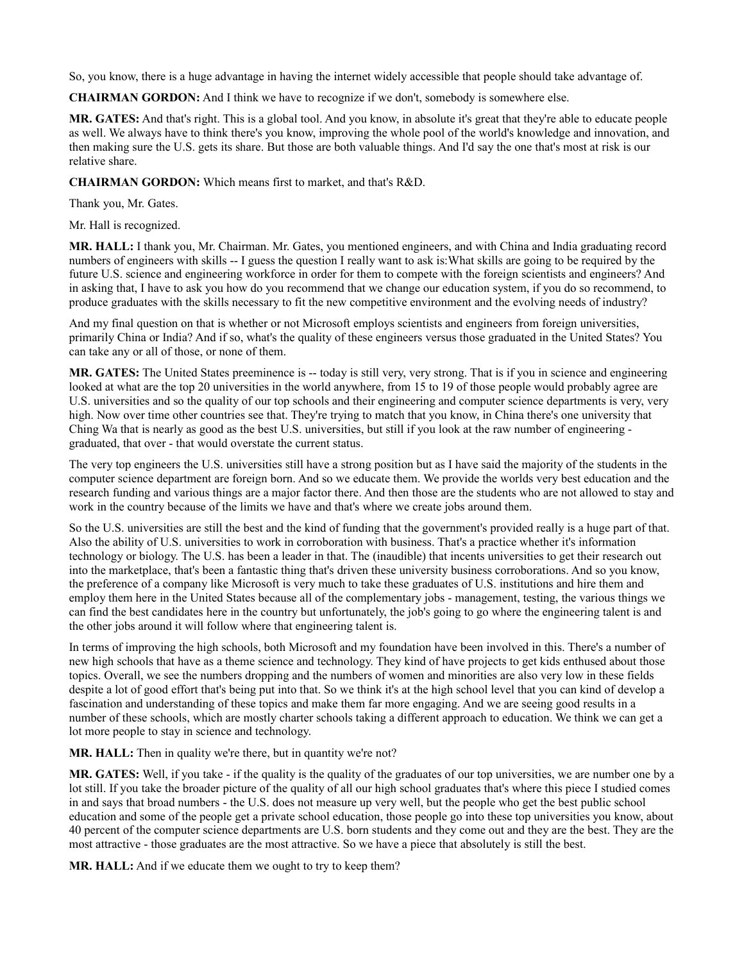So, you know, there is a huge advantage in having the internet widely accessible that people should take advantage of.

**CHAIRMAN GORDON:** And I think we have to recognize if we don't, somebody is somewhere else.

**MR. GATES:** And that's right. This is a global tool. And you know, in absolute it's great that they're able to educate people as well. We always have to think there's you know, improving the whole pool of the world's knowledge and innovation, and then making sure the U.S. gets its share. But those are both valuable things. And I'd say the one that's most at risk is our relative share.

**CHAIRMAN GORDON:** Which means first to market, and that's R&D.

Thank you, Mr. Gates.

Mr. Hall is recognized.

**MR. HALL:** I thank you, Mr. Chairman. Mr. Gates, you mentioned engineers, and with China and India graduating record numbers of engineers with skills -- I guess the question I really want to ask is:What skills are going to be required by the future U.S. science and engineering workforce in order for them to compete with the foreign scientists and engineers? And in asking that, I have to ask you how do you recommend that we change our education system, if you do so recommend, to produce graduates with the skills necessary to fit the new competitive environment and the evolving needs of industry?

And my final question on that is whether or not Microsoft employs scientists and engineers from foreign universities, primarily China or India? And if so, what's the quality of these engineers versus those graduated in the United States? You can take any or all of those, or none of them.

**MR. GATES:** The United States preeminence is -- today is still very, very strong. That is if you in science and engineering looked at what are the top 20 universities in the world anywhere, from 15 to 19 of those people would probably agree are U.S. universities and so the quality of our top schools and their engineering and computer science departments is very, very high. Now over time other countries see that. They're trying to match that you know, in China there's one university that Ching Wa that is nearly as good as the best U.S. universities, but still if you look at the raw number of engineering graduated, that over - that would overstate the current status.

The very top engineers the U.S. universities still have a strong position but as I have said the majority of the students in the computer science department are foreign born. And so we educate them. We provide the worlds very best education and the research funding and various things are a major factor there. And then those are the students who are not allowed to stay and work in the country because of the limits we have and that's where we create jobs around them.

So the U.S. universities are still the best and the kind of funding that the government's provided really is a huge part of that. Also the ability of U.S. universities to work in corroboration with business. That's a practice whether it's information technology or biology. The U.S. has been a leader in that. The (inaudible) that incents universities to get their research out into the marketplace, that's been a fantastic thing that's driven these university business corroborations. And so you know, the preference of a company like Microsoft is very much to take these graduates of U.S. institutions and hire them and employ them here in the United States because all of the complementary jobs - management, testing, the various things we can find the best candidates here in the country but unfortunately, the job's going to go where the engineering talent is and the other jobs around it will follow where that engineering talent is.

In terms of improving the high schools, both Microsoft and my foundation have been involved in this. There's a number of new high schools that have as a theme science and technology. They kind of have projects to get kids enthused about those topics. Overall, we see the numbers dropping and the numbers of women and minorities are also very low in these fields despite a lot of good effort that's being put into that. So we think it's at the high school level that you can kind of develop a fascination and understanding of these topics and make them far more engaging. And we are seeing good results in a number of these schools, which are mostly charter schools taking a different approach to education. We think we can get a lot more people to stay in science and technology.

**MR. HALL:** Then in quality we're there, but in quantity we're not?

**MR. GATES:** Well, if you take - if the quality is the quality of the graduates of our top universities, we are number one by a lot still. If you take the broader picture of the quality of all our high school graduates that's where this piece I studied comes in and says that broad numbers - the U.S. does not measure up very well, but the people who get the best public school education and some of the people get a private school education, those people go into these top universities you know, about 40 percent of the computer science departments are U.S. born students and they come out and they are the best. They are the most attractive - those graduates are the most attractive. So we have a piece that absolutely is still the best.

**MR. HALL:** And if we educate them we ought to try to keep them?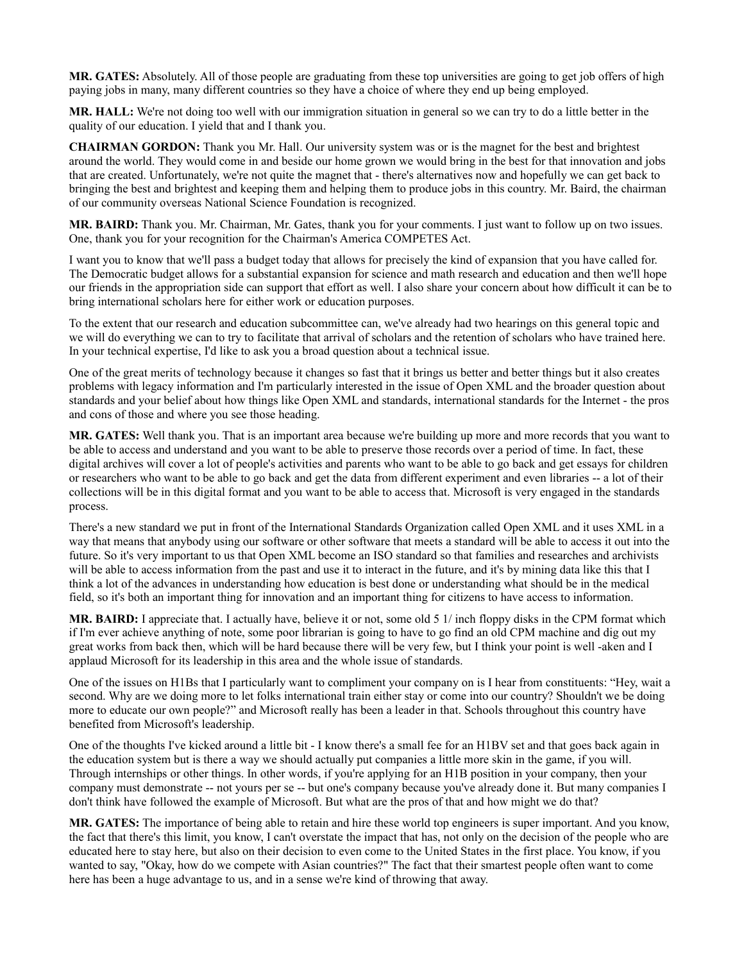**MR. GATES:** Absolutely. All of those people are graduating from these top universities are going to get job offers of high paying jobs in many, many different countries so they have a choice of where they end up being employed.

**MR. HALL:** We're not doing too well with our immigration situation in general so we can try to do a little better in the quality of our education. I yield that and I thank you.

**CHAIRMAN GORDON:** Thank you Mr. Hall. Our university system was or is the magnet for the best and brightest around the world. They would come in and beside our home grown we would bring in the best for that innovation and jobs that are created. Unfortunately, we're not quite the magnet that - there's alternatives now and hopefully we can get back to bringing the best and brightest and keeping them and helping them to produce jobs in this country. Mr. Baird, the chairman of our community overseas National Science Foundation is recognized.

**MR. BAIRD:** Thank you. Mr. Chairman, Mr. Gates, thank you for your comments. I just want to follow up on two issues. One, thank you for your recognition for the Chairman's America COMPETES Act.

I want you to know that we'll pass a budget today that allows for precisely the kind of expansion that you have called for. The Democratic budget allows for a substantial expansion for science and math research and education and then we'll hope our friends in the appropriation side can support that effort as well. I also share your concern about how difficult it can be to bring international scholars here for either work or education purposes.

To the extent that our research and education subcommittee can, we've already had two hearings on this general topic and we will do everything we can to try to facilitate that arrival of scholars and the retention of scholars who have trained here. In your technical expertise, I'd like to ask you a broad question about a technical issue.

One of the great merits of technology because it changes so fast that it brings us better and better things but it also creates problems with legacy information and I'm particularly interested in the issue of Open XML and the broader question about standards and your belief about how things like Open XML and standards, international standards for the Internet - the pros and cons of those and where you see those heading.

**MR. GATES:** Well thank you. That is an important area because we're building up more and more records that you want to be able to access and understand and you want to be able to preserve those records over a period of time. In fact, these digital archives will cover a lot of people's activities and parents who want to be able to go back and get essays for children or researchers who want to be able to go back and get the data from different experiment and even libraries -- a lot of their collections will be in this digital format and you want to be able to access that. Microsoft is very engaged in the standards process.

There's a new standard we put in front of the International Standards Organization called Open XML and it uses XML in a way that means that anybody using our software or other software that meets a standard will be able to access it out into the future. So it's very important to us that Open XML become an ISO standard so that families and researches and archivists will be able to access information from the past and use it to interact in the future, and it's by mining data like this that I think a lot of the advances in understanding how education is best done or understanding what should be in the medical field, so it's both an important thing for innovation and an important thing for citizens to have access to information.

**MR. BAIRD:** I appreciate that. I actually have, believe it or not, some old 5 1/ inch floppy disks in the CPM format which if I'm ever achieve anything of note, some poor librarian is going to have to go find an old CPM machine and dig out my great works from back then, which will be hard because there will be very few, but I think your point is well -aken and I applaud Microsoft for its leadership in this area and the whole issue of standards.

One of the issues on H1Bs that I particularly want to compliment your company on is I hear from constituents: "Hey, wait a second. Why are we doing more to let folks international train either stay or come into our country? Shouldn't we be doing more to educate our own people?" and Microsoft really has been a leader in that. Schools throughout this country have benefited from Microsoft's leadership.

One of the thoughts I've kicked around a little bit - I know there's a small fee for an H1BV set and that goes back again in the education system but is there a way we should actually put companies a little more skin in the game, if you will. Through internships or other things. In other words, if you're applying for an H1B position in your company, then your company must demonstrate -- not yours per se -- but one's company because you've already done it. But many companies I don't think have followed the example of Microsoft. But what are the pros of that and how might we do that?

**MR. GATES:** The importance of being able to retain and hire these world top engineers is super important. And you know, the fact that there's this limit, you know, I can't overstate the impact that has, not only on the decision of the people who are educated here to stay here, but also on their decision to even come to the United States in the first place. You know, if you wanted to say, "Okay, how do we compete with Asian countries?" The fact that their smartest people often want to come here has been a huge advantage to us, and in a sense we're kind of throwing that away.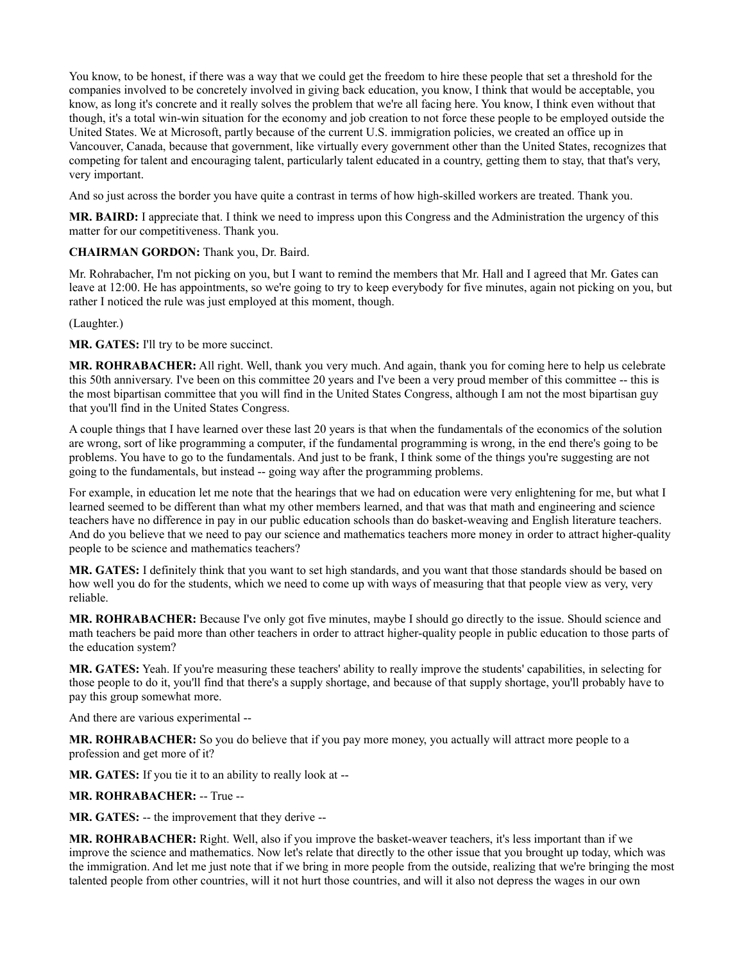You know, to be honest, if there was a way that we could get the freedom to hire these people that set a threshold for the companies involved to be concretely involved in giving back education, you know, I think that would be acceptable, you know, as long it's concrete and it really solves the problem that we're all facing here. You know, I think even without that though, it's a total win-win situation for the economy and job creation to not force these people to be employed outside the United States. We at Microsoft, partly because of the current U.S. immigration policies, we created an office up in Vancouver, Canada, because that government, like virtually every government other than the United States, recognizes that competing for talent and encouraging talent, particularly talent educated in a country, getting them to stay, that that's very, very important.

And so just across the border you have quite a contrast in terms of how high-skilled workers are treated. Thank you.

**MR. BAIRD:** I appreciate that. I think we need to impress upon this Congress and the Administration the urgency of this matter for our competitiveness. Thank you.

### **CHAIRMAN GORDON:** Thank you, Dr. Baird.

Mr. Rohrabacher, I'm not picking on you, but I want to remind the members that Mr. Hall and I agreed that Mr. Gates can leave at 12:00. He has appointments, so we're going to try to keep everybody for five minutes, again not picking on you, but rather I noticed the rule was just employed at this moment, though.

(Laughter.)

**MR. GATES:** I'll try to be more succinct.

**MR. ROHRABACHER:** All right. Well, thank you very much. And again, thank you for coming here to help us celebrate this 50th anniversary. I've been on this committee 20 years and I've been a very proud member of this committee -- this is the most bipartisan committee that you will find in the United States Congress, although I am not the most bipartisan guy that you'll find in the United States Congress.

A couple things that I have learned over these last 20 years is that when the fundamentals of the economics of the solution are wrong, sort of like programming a computer, if the fundamental programming is wrong, in the end there's going to be problems. You have to go to the fundamentals. And just to be frank, I think some of the things you're suggesting are not going to the fundamentals, but instead -- going way after the programming problems.

For example, in education let me note that the hearings that we had on education were very enlightening for me, but what I learned seemed to be different than what my other members learned, and that was that math and engineering and science teachers have no difference in pay in our public education schools than do basket-weaving and English literature teachers. And do you believe that we need to pay our science and mathematics teachers more money in order to attract higher-quality people to be science and mathematics teachers?

**MR. GATES:** I definitely think that you want to set high standards, and you want that those standards should be based on how well you do for the students, which we need to come up with ways of measuring that that people view as very, very reliable.

**MR. ROHRABACHER:** Because I've only got five minutes, maybe I should go directly to the issue. Should science and math teachers be paid more than other teachers in order to attract higher-quality people in public education to those parts of the education system?

**MR. GATES:** Yeah. If you're measuring these teachers' ability to really improve the students' capabilities, in selecting for those people to do it, you'll find that there's a supply shortage, and because of that supply shortage, you'll probably have to pay this group somewhat more.

And there are various experimental --

**MR. ROHRABACHER:** So you do believe that if you pay more money, you actually will attract more people to a profession and get more of it?

**MR. GATES:** If you tie it to an ability to really look at --

# **MR. ROHRABACHER:** -- True --

**MR. GATES:** -- the improvement that they derive --

**MR. ROHRABACHER:** Right. Well, also if you improve the basket-weaver teachers, it's less important than if we improve the science and mathematics. Now let's relate that directly to the other issue that you brought up today, which was the immigration. And let me just note that if we bring in more people from the outside, realizing that we're bringing the most talented people from other countries, will it not hurt those countries, and will it also not depress the wages in our own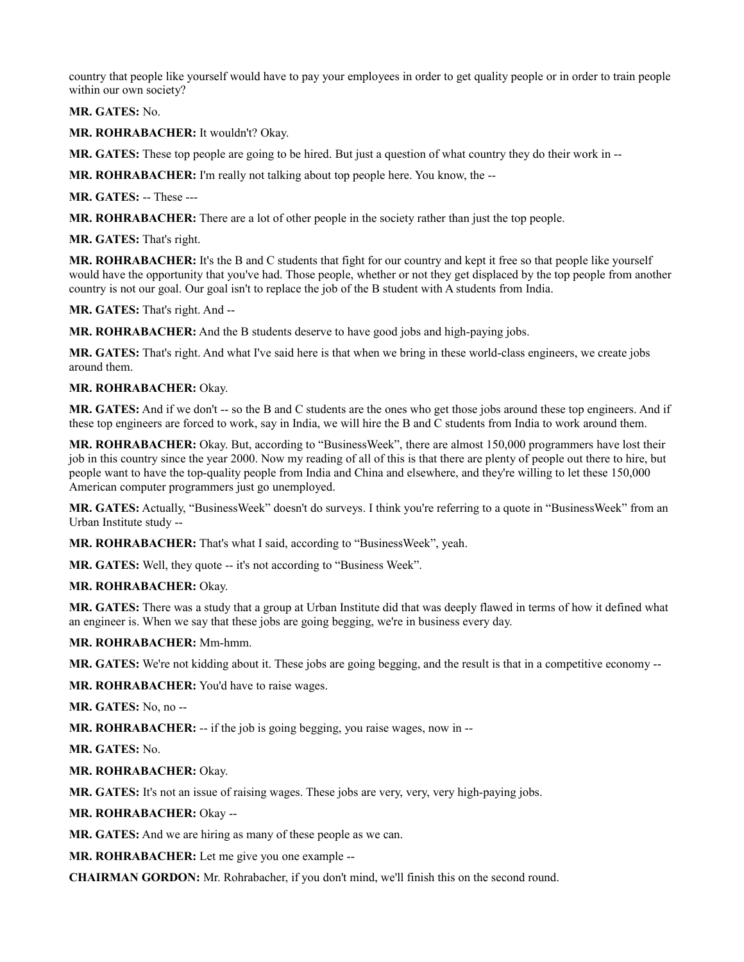country that people like yourself would have to pay your employees in order to get quality people or in order to train people within our own society?

**MR. GATES:** No.

**MR. ROHRABACHER:** It wouldn't? Okay.

**MR. GATES:** These top people are going to be hired. But just a question of what country they do their work in --

**MR. ROHRABACHER:** I'm really not talking about top people here. You know, the --

**MR. GATES:** -- These ---

**MR. ROHRABACHER:** There are a lot of other people in the society rather than just the top people.

**MR. GATES:** That's right.

**MR. ROHRABACHER:** It's the B and C students that fight for our country and kept it free so that people like yourself would have the opportunity that you've had. Those people, whether or not they get displaced by the top people from another country is not our goal. Our goal isn't to replace the job of the B student with A students from India.

**MR. GATES:** That's right. And --

**MR. ROHRABACHER:** And the B students deserve to have good jobs and high-paying jobs.

**MR. GATES:** That's right. And what I've said here is that when we bring in these world-class engineers, we create jobs around them.

### **MR. ROHRABACHER:** Okay.

**MR. GATES:** And if we don't -- so the B and C students are the ones who get those jobs around these top engineers. And if these top engineers are forced to work, say in India, we will hire the B and C students from India to work around them.

**MR. ROHRABACHER:** Okay. But, according to "BusinessWeek", there are almost 150,000 programmers have lost their job in this country since the year 2000. Now my reading of all of this is that there are plenty of people out there to hire, but people want to have the top-quality people from India and China and elsewhere, and they're willing to let these 150,000 American computer programmers just go unemployed.

**MR. GATES:** Actually, "BusinessWeek" doesn't do surveys. I think you're referring to a quote in "BusinessWeek" from an Urban Institute study --

**MR. ROHRABACHER:** That's what I said, according to "BusinessWeek", yeah.

**MR. GATES:** Well, they quote -- it's not according to "Business Week".

#### **MR. ROHRABACHER:** Okay.

**MR. GATES:** There was a study that a group at Urban Institute did that was deeply flawed in terms of how it defined what an engineer is. When we say that these jobs are going begging, we're in business every day.

# **MR. ROHRABACHER:** Mm-hmm.

**MR. GATES:** We're not kidding about it. These jobs are going begging, and the result is that in a competitive economy --

**MR. ROHRABACHER:** You'd have to raise wages.

**MR. GATES:** No, no --

**MR. ROHRABACHER:** -- if the job is going begging, you raise wages, now in --

**MR. GATES:** No.

# **MR. ROHRABACHER:** Okay.

**MR. GATES:** It's not an issue of raising wages. These jobs are very, very, very high-paying jobs.

**MR. ROHRABACHER:** Okay --

**MR. GATES:** And we are hiring as many of these people as we can.

**MR. ROHRABACHER:** Let me give you one example --

**CHAIRMAN GORDON:** Mr. Rohrabacher, if you don't mind, we'll finish this on the second round.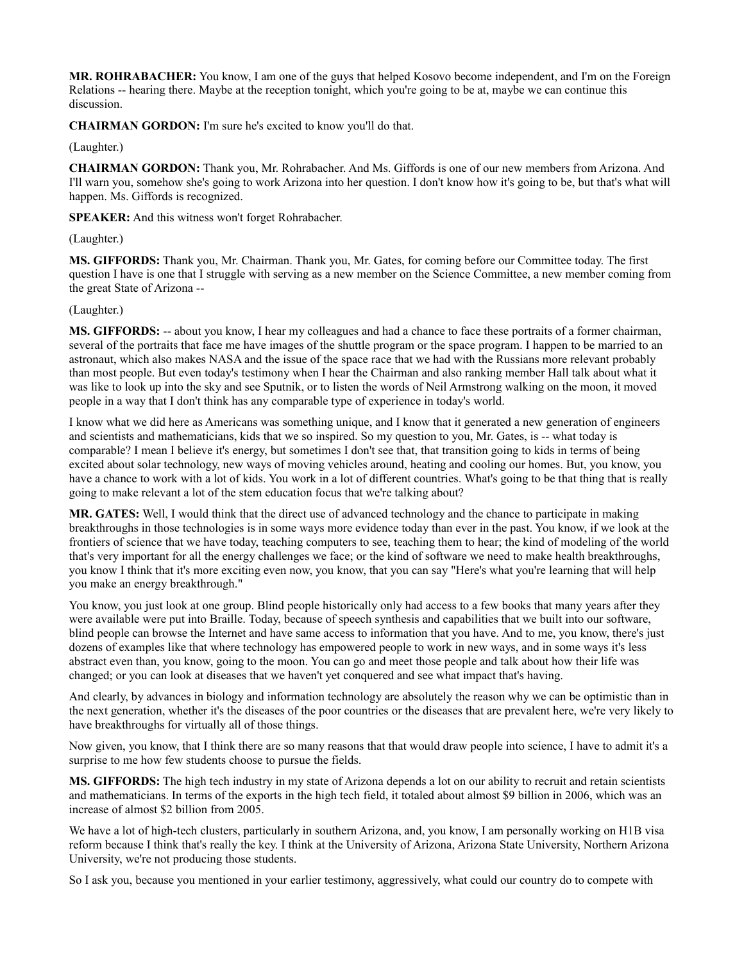**MR. ROHRABACHER:** You know, I am one of the guys that helped Kosovo become independent, and I'm on the Foreign Relations -- hearing there. Maybe at the reception tonight, which you're going to be at, maybe we can continue this discussion.

**CHAIRMAN GORDON:** I'm sure he's excited to know you'll do that.

(Laughter.)

**CHAIRMAN GORDON:** Thank you, Mr. Rohrabacher. And Ms. Giffords is one of our new members from Arizona. And I'll warn you, somehow she's going to work Arizona into her question. I don't know how it's going to be, but that's what will happen. Ms. Giffords is recognized.

**SPEAKER:** And this witness won't forget Rohrabacher.

(Laughter.)

**MS. GIFFORDS:** Thank you, Mr. Chairman. Thank you, Mr. Gates, for coming before our Committee today. The first question I have is one that I struggle with serving as a new member on the Science Committee, a new member coming from the great State of Arizona --

# (Laughter.)

**MS. GIFFORDS:** -- about you know, I hear my colleagues and had a chance to face these portraits of a former chairman, several of the portraits that face me have images of the shuttle program or the space program. I happen to be married to an astronaut, which also makes NASA and the issue of the space race that we had with the Russians more relevant probably than most people. But even today's testimony when I hear the Chairman and also ranking member Hall talk about what it was like to look up into the sky and see Sputnik, or to listen the words of Neil Armstrong walking on the moon, it moved people in a way that I don't think has any comparable type of experience in today's world.

I know what we did here as Americans was something unique, and I know that it generated a new generation of engineers and scientists and mathematicians, kids that we so inspired. So my question to you, Mr. Gates, is -- what today is comparable? I mean I believe it's energy, but sometimes I don't see that, that transition going to kids in terms of being excited about solar technology, new ways of moving vehicles around, heating and cooling our homes. But, you know, you have a chance to work with a lot of kids. You work in a lot of different countries. What's going to be that thing that is really going to make relevant a lot of the stem education focus that we're talking about?

**MR. GATES:** Well, I would think that the direct use of advanced technology and the chance to participate in making breakthroughs in those technologies is in some ways more evidence today than ever in the past. You know, if we look at the frontiers of science that we have today, teaching computers to see, teaching them to hear; the kind of modeling of the world that's very important for all the energy challenges we face; or the kind of software we need to make health breakthroughs, you know I think that it's more exciting even now, you know, that you can say "Here's what you're learning that will help you make an energy breakthrough."

You know, you just look at one group. Blind people historically only had access to a few books that many years after they were available were put into Braille. Today, because of speech synthesis and capabilities that we built into our software, blind people can browse the Internet and have same access to information that you have. And to me, you know, there's just dozens of examples like that where technology has empowered people to work in new ways, and in some ways it's less abstract even than, you know, going to the moon. You can go and meet those people and talk about how their life was changed; or you can look at diseases that we haven't yet conquered and see what impact that's having.

And clearly, by advances in biology and information technology are absolutely the reason why we can be optimistic than in the next generation, whether it's the diseases of the poor countries or the diseases that are prevalent here, we're very likely to have breakthroughs for virtually all of those things.

Now given, you know, that I think there are so many reasons that that would draw people into science, I have to admit it's a surprise to me how few students choose to pursue the fields.

**MS. GIFFORDS:** The high tech industry in my state of Arizona depends a lot on our ability to recruit and retain scientists and mathematicians. In terms of the exports in the high tech field, it totaled about almost \$9 billion in 2006, which was an increase of almost \$2 billion from 2005.

We have a lot of high-tech clusters, particularly in southern Arizona, and, you know, I am personally working on H1B visa reform because I think that's really the key. I think at the University of Arizona, Arizona State University, Northern Arizona University, we're not producing those students.

So I ask you, because you mentioned in your earlier testimony, aggressively, what could our country do to compete with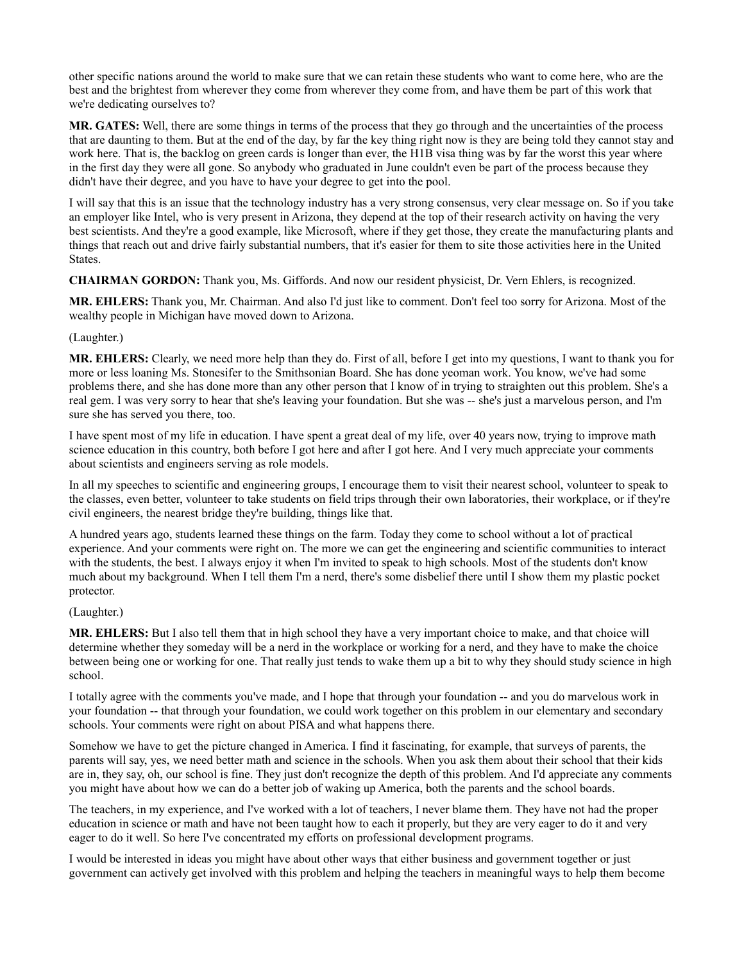other specific nations around the world to make sure that we can retain these students who want to come here, who are the best and the brightest from wherever they come from wherever they come from, and have them be part of this work that we're dedicating ourselves to?

**MR. GATES:** Well, there are some things in terms of the process that they go through and the uncertainties of the process that are daunting to them. But at the end of the day, by far the key thing right now is they are being told they cannot stay and work here. That is, the backlog on green cards is longer than ever, the H1B visa thing was by far the worst this year where in the first day they were all gone. So anybody who graduated in June couldn't even be part of the process because they didn't have their degree, and you have to have your degree to get into the pool.

I will say that this is an issue that the technology industry has a very strong consensus, very clear message on. So if you take an employer like Intel, who is very present in Arizona, they depend at the top of their research activity on having the very best scientists. And they're a good example, like Microsoft, where if they get those, they create the manufacturing plants and things that reach out and drive fairly substantial numbers, that it's easier for them to site those activities here in the United States.

# **CHAIRMAN GORDON:** Thank you, Ms. Giffords. And now our resident physicist, Dr. Vern Ehlers, is recognized.

**MR. EHLERS:** Thank you, Mr. Chairman. And also I'd just like to comment. Don't feel too sorry for Arizona. Most of the wealthy people in Michigan have moved down to Arizona.

### (Laughter.)

**MR. EHLERS:** Clearly, we need more help than they do. First of all, before I get into my questions, I want to thank you for more or less loaning Ms. Stonesifer to the Smithsonian Board. She has done yeoman work. You know, we've had some problems there, and she has done more than any other person that I know of in trying to straighten out this problem. She's a real gem. I was very sorry to hear that she's leaving your foundation. But she was -- she's just a marvelous person, and I'm sure she has served you there, too.

I have spent most of my life in education. I have spent a great deal of my life, over 40 years now, trying to improve math science education in this country, both before I got here and after I got here. And I very much appreciate your comments about scientists and engineers serving as role models.

In all my speeches to scientific and engineering groups, I encourage them to visit their nearest school, volunteer to speak to the classes, even better, volunteer to take students on field trips through their own laboratories, their workplace, or if they're civil engineers, the nearest bridge they're building, things like that.

A hundred years ago, students learned these things on the farm. Today they come to school without a lot of practical experience. And your comments were right on. The more we can get the engineering and scientific communities to interact with the students, the best. I always enjoy it when I'm invited to speak to high schools. Most of the students don't know much about my background. When I tell them I'm a nerd, there's some disbelief there until I show them my plastic pocket protector.

#### (Laughter.)

**MR. EHLERS:** But I also tell them that in high school they have a very important choice to make, and that choice will determine whether they someday will be a nerd in the workplace or working for a nerd, and they have to make the choice between being one or working for one. That really just tends to wake them up a bit to why they should study science in high school.

I totally agree with the comments you've made, and I hope that through your foundation -- and you do marvelous work in your foundation -- that through your foundation, we could work together on this problem in our elementary and secondary schools. Your comments were right on about PISA and what happens there.

Somehow we have to get the picture changed in America. I find it fascinating, for example, that surveys of parents, the parents will say, yes, we need better math and science in the schools. When you ask them about their school that their kids are in, they say, oh, our school is fine. They just don't recognize the depth of this problem. And I'd appreciate any comments you might have about how we can do a better job of waking up America, both the parents and the school boards.

The teachers, in my experience, and I've worked with a lot of teachers, I never blame them. They have not had the proper education in science or math and have not been taught how to each it properly, but they are very eager to do it and very eager to do it well. So here I've concentrated my efforts on professional development programs.

I would be interested in ideas you might have about other ways that either business and government together or just government can actively get involved with this problem and helping the teachers in meaningful ways to help them become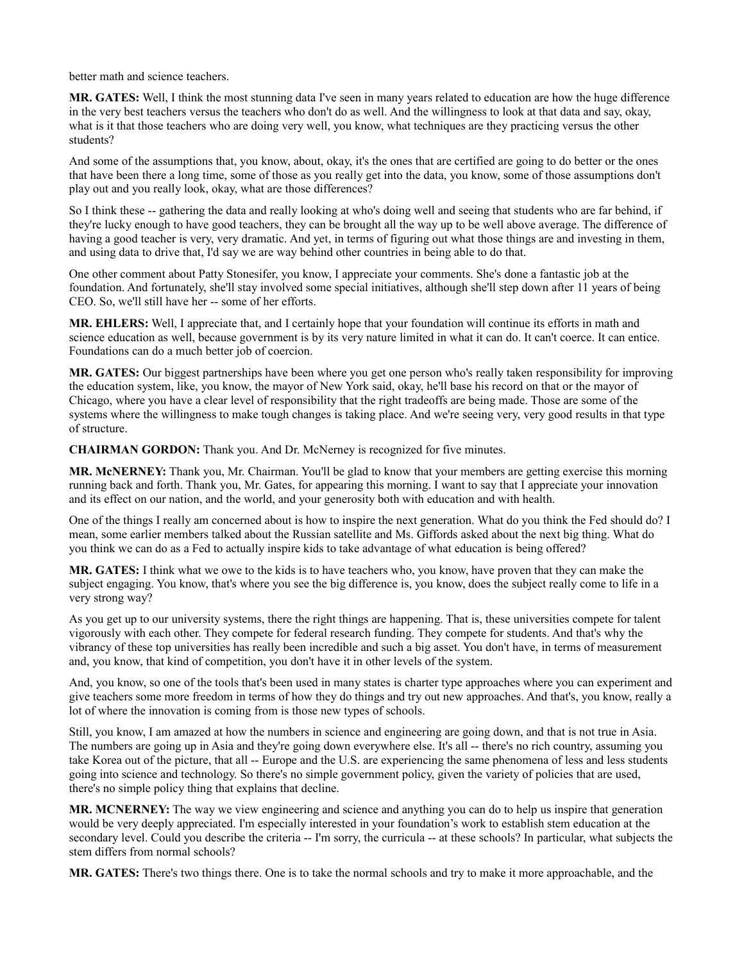better math and science teachers.

**MR. GATES:** Well, I think the most stunning data I've seen in many years related to education are how the huge difference in the very best teachers versus the teachers who don't do as well. And the willingness to look at that data and say, okay, what is it that those teachers who are doing very well, you know, what techniques are they practicing versus the other students?

And some of the assumptions that, you know, about, okay, it's the ones that are certified are going to do better or the ones that have been there a long time, some of those as you really get into the data, you know, some of those assumptions don't play out and you really look, okay, what are those differences?

So I think these -- gathering the data and really looking at who's doing well and seeing that students who are far behind, if they're lucky enough to have good teachers, they can be brought all the way up to be well above average. The difference of having a good teacher is very, very dramatic. And yet, in terms of figuring out what those things are and investing in them, and using data to drive that, I'd say we are way behind other countries in being able to do that.

One other comment about Patty Stonesifer, you know, I appreciate your comments. She's done a fantastic job at the foundation. And fortunately, she'll stay involved some special initiatives, although she'll step down after 11 years of being CEO. So, we'll still have her -- some of her efforts.

**MR. EHLERS:** Well, I appreciate that, and I certainly hope that your foundation will continue its efforts in math and science education as well, because government is by its very nature limited in what it can do. It can't coerce. It can entice. Foundations can do a much better job of coercion.

**MR. GATES:** Our biggest partnerships have been where you get one person who's really taken responsibility for improving the education system, like, you know, the mayor of New York said, okay, he'll base his record on that or the mayor of Chicago, where you have a clear level of responsibility that the right tradeoffs are being made. Those are some of the systems where the willingness to make tough changes is taking place. And we're seeing very, very good results in that type of structure.

**CHAIRMAN GORDON:** Thank you. And Dr. McNerney is recognized for five minutes.

**MR. McNERNEY:** Thank you, Mr. Chairman. You'll be glad to know that your members are getting exercise this morning running back and forth. Thank you, Mr. Gates, for appearing this morning. I want to say that I appreciate your innovation and its effect on our nation, and the world, and your generosity both with education and with health.

One of the things I really am concerned about is how to inspire the next generation. What do you think the Fed should do? I mean, some earlier members talked about the Russian satellite and Ms. Giffords asked about the next big thing. What do you think we can do as a Fed to actually inspire kids to take advantage of what education is being offered?

**MR. GATES:** I think what we owe to the kids is to have teachers who, you know, have proven that they can make the subject engaging. You know, that's where you see the big difference is, you know, does the subject really come to life in a very strong way?

As you get up to our university systems, there the right things are happening. That is, these universities compete for talent vigorously with each other. They compete for federal research funding. They compete for students. And that's why the vibrancy of these top universities has really been incredible and such a big asset. You don't have, in terms of measurement and, you know, that kind of competition, you don't have it in other levels of the system.

And, you know, so one of the tools that's been used in many states is charter type approaches where you can experiment and give teachers some more freedom in terms of how they do things and try out new approaches. And that's, you know, really a lot of where the innovation is coming from is those new types of schools.

Still, you know, I am amazed at how the numbers in science and engineering are going down, and that is not true in Asia. The numbers are going up in Asia and they're going down everywhere else. It's all -- there's no rich country, assuming you take Korea out of the picture, that all -- Europe and the U.S. are experiencing the same phenomena of less and less students going into science and technology. So there's no simple government policy, given the variety of policies that are used, there's no simple policy thing that explains that decline.

**MR. MCNERNEY:** The way we view engineering and science and anything you can do to help us inspire that generation would be very deeply appreciated. I'm especially interested in your foundation's work to establish stem education at the secondary level. Could you describe the criteria -- I'm sorry, the curricula -- at these schools? In particular, what subjects the stem differs from normal schools?

**MR. GATES:** There's two things there. One is to take the normal schools and try to make it more approachable, and the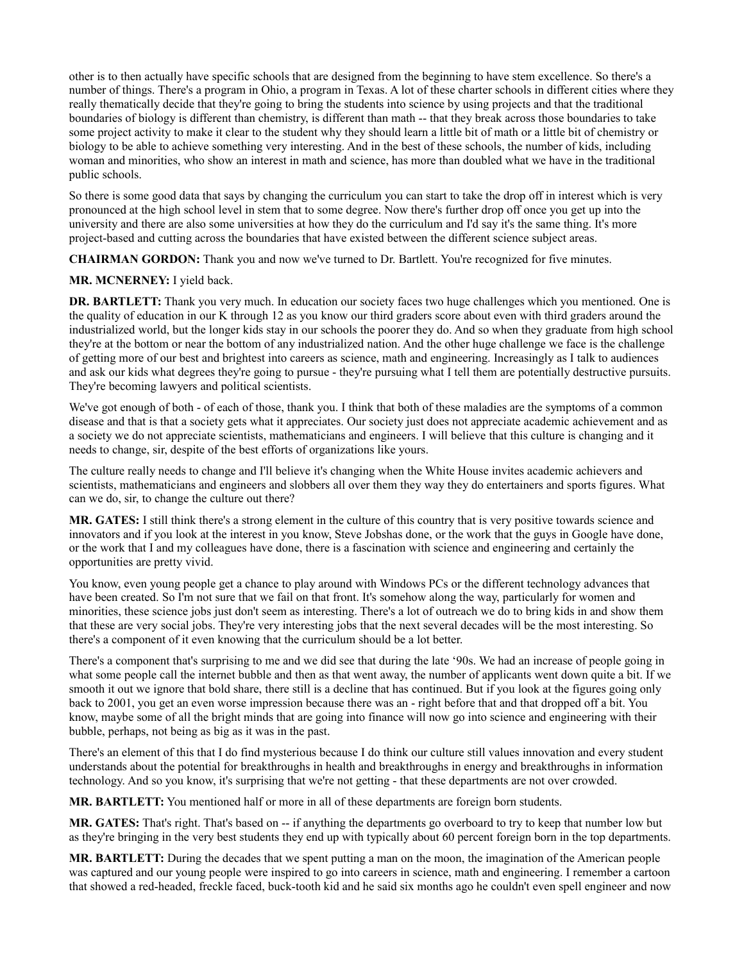other is to then actually have specific schools that are designed from the beginning to have stem excellence. So there's a number of things. There's a program in Ohio, a program in Texas. A lot of these charter schools in different cities where they really thematically decide that they're going to bring the students into science by using projects and that the traditional boundaries of biology is different than chemistry, is different than math -- that they break across those boundaries to take some project activity to make it clear to the student why they should learn a little bit of math or a little bit of chemistry or biology to be able to achieve something very interesting. And in the best of these schools, the number of kids, including woman and minorities, who show an interest in math and science, has more than doubled what we have in the traditional public schools.

So there is some good data that says by changing the curriculum you can start to take the drop off in interest which is very pronounced at the high school level in stem that to some degree. Now there's further drop off once you get up into the university and there are also some universities at how they do the curriculum and I'd say it's the same thing. It's more project-based and cutting across the boundaries that have existed between the different science subject areas.

**CHAIRMAN GORDON:** Thank you and now we've turned to Dr. Bartlett. You're recognized for five minutes.

### **MR. MCNERNEY:** I yield back.

**DR. BARTLETT:** Thank you very much. In education our society faces two huge challenges which you mentioned. One is the quality of education in our K through 12 as you know our third graders score about even with third graders around the industrialized world, but the longer kids stay in our schools the poorer they do. And so when they graduate from high school they're at the bottom or near the bottom of any industrialized nation. And the other huge challenge we face is the challenge of getting more of our best and brightest into careers as science, math and engineering. Increasingly as I talk to audiences and ask our kids what degrees they're going to pursue - they're pursuing what I tell them are potentially destructive pursuits. They're becoming lawyers and political scientists.

We've got enough of both - of each of those, thank you. I think that both of these maladies are the symptoms of a common disease and that is that a society gets what it appreciates. Our society just does not appreciate academic achievement and as a society we do not appreciate scientists, mathematicians and engineers. I will believe that this culture is changing and it needs to change, sir, despite of the best efforts of organizations like yours.

The culture really needs to change and I'll believe it's changing when the White House invites academic achievers and scientists, mathematicians and engineers and slobbers all over them they way they do entertainers and sports figures. What can we do, sir, to change the culture out there?

**MR. GATES:** I still think there's a strong element in the culture of this country that is very positive towards science and innovators and if you look at the interest in you know, Steve Jobshas done, or the work that the guys in Google have done, or the work that I and my colleagues have done, there is a fascination with science and engineering and certainly the opportunities are pretty vivid.

You know, even young people get a chance to play around with Windows PCs or the different technology advances that have been created. So I'm not sure that we fail on that front. It's somehow along the way, particularly for women and minorities, these science jobs just don't seem as interesting. There's a lot of outreach we do to bring kids in and show them that these are very social jobs. They're very interesting jobs that the next several decades will be the most interesting. So there's a component of it even knowing that the curriculum should be a lot better.

There's a component that's surprising to me and we did see that during the late '90s. We had an increase of people going in what some people call the internet bubble and then as that went away, the number of applicants went down quite a bit. If we smooth it out we ignore that bold share, there still is a decline that has continued. But if you look at the figures going only back to 2001, you get an even worse impression because there was an - right before that and that dropped off a bit. You know, maybe some of all the bright minds that are going into finance will now go into science and engineering with their bubble, perhaps, not being as big as it was in the past.

There's an element of this that I do find mysterious because I do think our culture still values innovation and every student understands about the potential for breakthroughs in health and breakthroughs in energy and breakthroughs in information technology. And so you know, it's surprising that we're not getting - that these departments are not over crowded.

**MR. BARTLETT:** You mentioned half or more in all of these departments are foreign born students.

**MR. GATES:** That's right. That's based on -- if anything the departments go overboard to try to keep that number low but as they're bringing in the very best students they end up with typically about 60 percent foreign born in the top departments.

**MR. BARTLETT:** During the decades that we spent putting a man on the moon, the imagination of the American people was captured and our young people were inspired to go into careers in science, math and engineering. I remember a cartoon that showed a red-headed, freckle faced, buck-tooth kid and he said six months ago he couldn't even spell engineer and now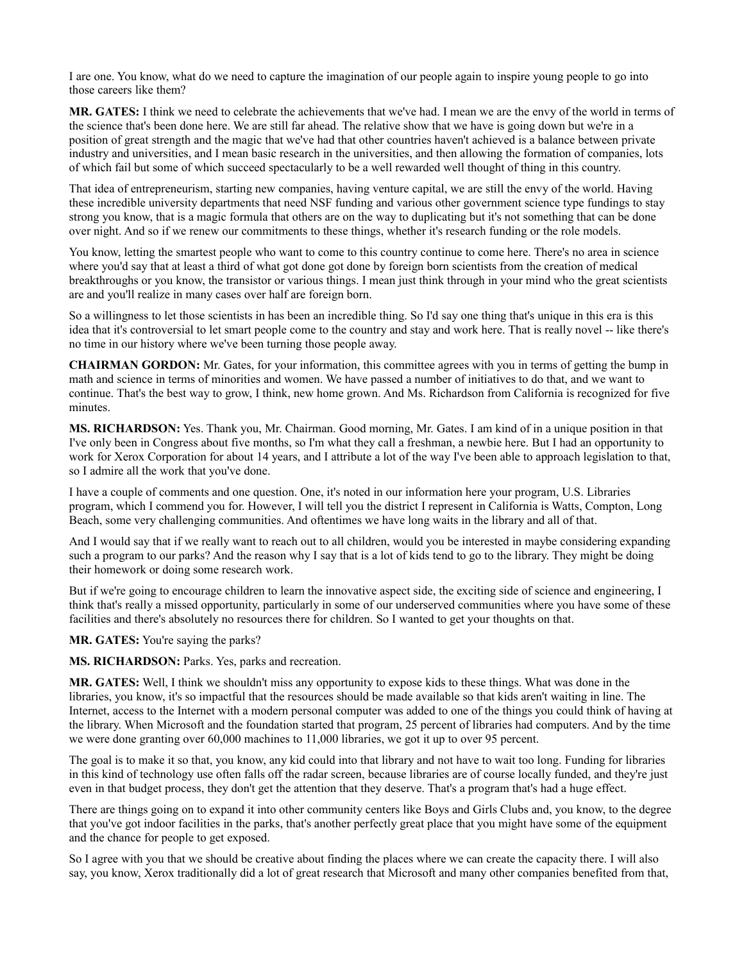I are one. You know, what do we need to capture the imagination of our people again to inspire young people to go into those careers like them?

**MR. GATES:** I think we need to celebrate the achievements that we've had. I mean we are the envy of the world in terms of the science that's been done here. We are still far ahead. The relative show that we have is going down but we're in a position of great strength and the magic that we've had that other countries haven't achieved is a balance between private industry and universities, and I mean basic research in the universities, and then allowing the formation of companies, lots of which fail but some of which succeed spectacularly to be a well rewarded well thought of thing in this country.

That idea of entrepreneurism, starting new companies, having venture capital, we are still the envy of the world. Having these incredible university departments that need NSF funding and various other government science type fundings to stay strong you know, that is a magic formula that others are on the way to duplicating but it's not something that can be done over night. And so if we renew our commitments to these things, whether it's research funding or the role models.

You know, letting the smartest people who want to come to this country continue to come here. There's no area in science where you'd say that at least a third of what got done got done by foreign born scientists from the creation of medical breakthroughs or you know, the transistor or various things. I mean just think through in your mind who the great scientists are and you'll realize in many cases over half are foreign born.

So a willingness to let those scientists in has been an incredible thing. So I'd say one thing that's unique in this era is this idea that it's controversial to let smart people come to the country and stay and work here. That is really novel -- like there's no time in our history where we've been turning those people away.

**CHAIRMAN GORDON:** Mr. Gates, for your information, this committee agrees with you in terms of getting the bump in math and science in terms of minorities and women. We have passed a number of initiatives to do that, and we want to continue. That's the best way to grow, I think, new home grown. And Ms. Richardson from California is recognized for five minutes.

**MS. RICHARDSON:** Yes. Thank you, Mr. Chairman. Good morning, Mr. Gates. I am kind of in a unique position in that I've only been in Congress about five months, so I'm what they call a freshman, a newbie here. But I had an opportunity to work for Xerox Corporation for about 14 years, and I attribute a lot of the way I've been able to approach legislation to that, so I admire all the work that you've done.

I have a couple of comments and one question. One, it's noted in our information here your program, U.S. Libraries program, which I commend you for. However, I will tell you the district I represent in California is Watts, Compton, Long Beach, some very challenging communities. And oftentimes we have long waits in the library and all of that.

And I would say that if we really want to reach out to all children, would you be interested in maybe considering expanding such a program to our parks? And the reason why I say that is a lot of kids tend to go to the library. They might be doing their homework or doing some research work.

But if we're going to encourage children to learn the innovative aspect side, the exciting side of science and engineering, I think that's really a missed opportunity, particularly in some of our underserved communities where you have some of these facilities and there's absolutely no resources there for children. So I wanted to get your thoughts on that.

**MR. GATES:** You're saying the parks?

MS. RICHARDSON: Parks. Yes, parks and recreation.

**MR. GATES:** Well, I think we shouldn't miss any opportunity to expose kids to these things. What was done in the libraries, you know, it's so impactful that the resources should be made available so that kids aren't waiting in line. The Internet, access to the Internet with a modern personal computer was added to one of the things you could think of having at the library. When Microsoft and the foundation started that program, 25 percent of libraries had computers. And by the time we were done granting over 60,000 machines to 11,000 libraries, we got it up to over 95 percent.

The goal is to make it so that, you know, any kid could into that library and not have to wait too long. Funding for libraries in this kind of technology use often falls off the radar screen, because libraries are of course locally funded, and they're just even in that budget process, they don't get the attention that they deserve. That's a program that's had a huge effect.

There are things going on to expand it into other community centers like Boys and Girls Clubs and, you know, to the degree that you've got indoor facilities in the parks, that's another perfectly great place that you might have some of the equipment and the chance for people to get exposed.

So I agree with you that we should be creative about finding the places where we can create the capacity there. I will also say, you know, Xerox traditionally did a lot of great research that Microsoft and many other companies benefited from that,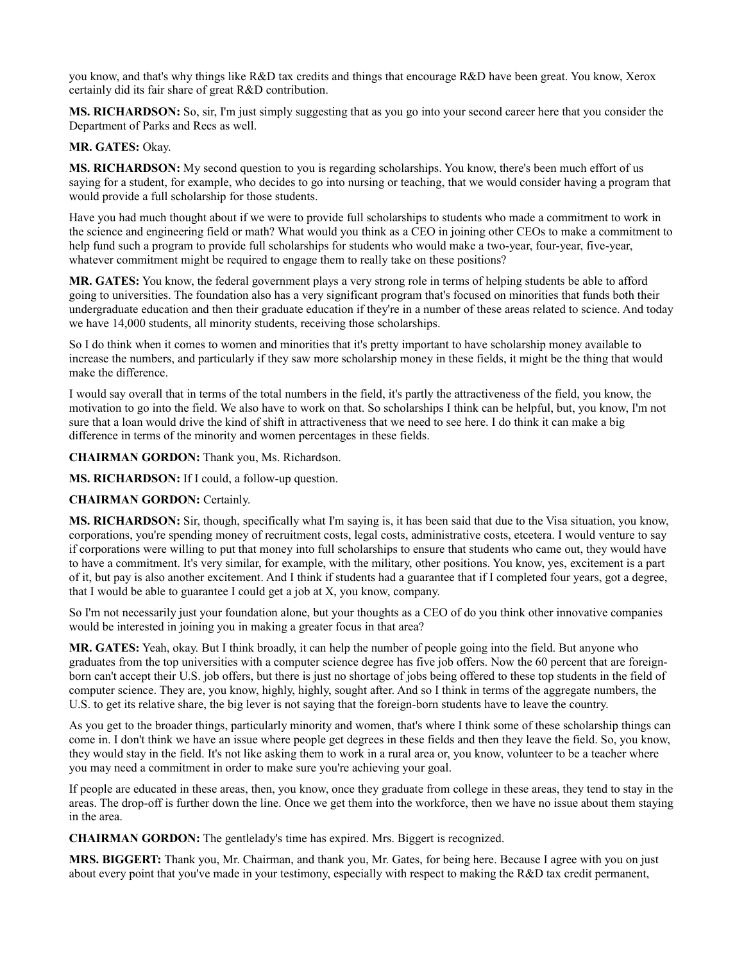you know, and that's why things like R&D tax credits and things that encourage R&D have been great. You know, Xerox certainly did its fair share of great R&D contribution.

**MS. RICHARDSON:** So, sir, I'm just simply suggesting that as you go into your second career here that you consider the Department of Parks and Recs as well.

# **MR. GATES:** Okay.

**MS. RICHARDSON:** My second question to you is regarding scholarships. You know, there's been much effort of us saying for a student, for example, who decides to go into nursing or teaching, that we would consider having a program that would provide a full scholarship for those students.

Have you had much thought about if we were to provide full scholarships to students who made a commitment to work in the science and engineering field or math? What would you think as a CEO in joining other CEOs to make a commitment to help fund such a program to provide full scholarships for students who would make a two-year, four-year, five-year, whatever commitment might be required to engage them to really take on these positions?

**MR. GATES:** You know, the federal government plays a very strong role in terms of helping students be able to afford going to universities. The foundation also has a very significant program that's focused on minorities that funds both their undergraduate education and then their graduate education if they're in a number of these areas related to science. And today we have 14,000 students, all minority students, receiving those scholarships.

So I do think when it comes to women and minorities that it's pretty important to have scholarship money available to increase the numbers, and particularly if they saw more scholarship money in these fields, it might be the thing that would make the difference.

I would say overall that in terms of the total numbers in the field, it's partly the attractiveness of the field, you know, the motivation to go into the field. We also have to work on that. So scholarships I think can be helpful, but, you know, I'm not sure that a loan would drive the kind of shift in attractiveness that we need to see here. I do think it can make a big difference in terms of the minority and women percentages in these fields.

**CHAIRMAN GORDON:** Thank you, Ms. Richardson.

**MS. RICHARDSON:** If I could, a follow-up question.

# **CHAIRMAN GORDON:** Certainly.

**MS. RICHARDSON:** Sir, though, specifically what I'm saying is, it has been said that due to the Visa situation, you know, corporations, you're spending money of recruitment costs, legal costs, administrative costs, etcetera. I would venture to say if corporations were willing to put that money into full scholarships to ensure that students who came out, they would have to have a commitment. It's very similar, for example, with the military, other positions. You know, yes, excitement is a part of it, but pay is also another excitement. And I think if students had a guarantee that if I completed four years, got a degree, that I would be able to guarantee I could get a job at X, you know, company.

So I'm not necessarily just your foundation alone, but your thoughts as a CEO of do you think other innovative companies would be interested in joining you in making a greater focus in that area?

**MR. GATES:** Yeah, okay. But I think broadly, it can help the number of people going into the field. But anyone who graduates from the top universities with a computer science degree has five job offers. Now the 60 percent that are foreignborn can't accept their U.S. job offers, but there is just no shortage of jobs being offered to these top students in the field of computer science. They are, you know, highly, highly, sought after. And so I think in terms of the aggregate numbers, the U.S. to get its relative share, the big lever is not saying that the foreign-born students have to leave the country.

As you get to the broader things, particularly minority and women, that's where I think some of these scholarship things can come in. I don't think we have an issue where people get degrees in these fields and then they leave the field. So, you know, they would stay in the field. It's not like asking them to work in a rural area or, you know, volunteer to be a teacher where you may need a commitment in order to make sure you're achieving your goal.

If people are educated in these areas, then, you know, once they graduate from college in these areas, they tend to stay in the areas. The drop-off is further down the line. Once we get them into the workforce, then we have no issue about them staying in the area.

**CHAIRMAN GORDON:** The gentlelady's time has expired. Mrs. Biggert is recognized.

**MRS. BIGGERT:** Thank you, Mr. Chairman, and thank you, Mr. Gates, for being here. Because I agree with you on just about every point that you've made in your testimony, especially with respect to making the R&D tax credit permanent,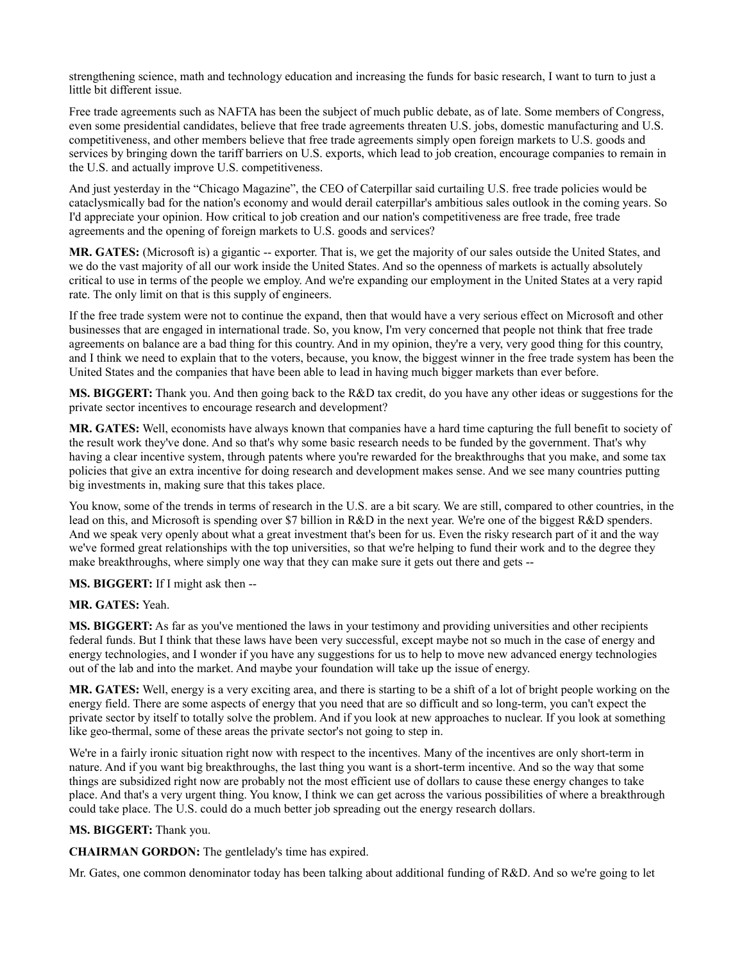strengthening science, math and technology education and increasing the funds for basic research, I want to turn to just a little bit different issue.

Free trade agreements such as NAFTA has been the subject of much public debate, as of late. Some members of Congress, even some presidential candidates, believe that free trade agreements threaten U.S. jobs, domestic manufacturing and U.S. competitiveness, and other members believe that free trade agreements simply open foreign markets to U.S. goods and services by bringing down the tariff barriers on U.S. exports, which lead to job creation, encourage companies to remain in the U.S. and actually improve U.S. competitiveness.

And just yesterday in the "Chicago Magazine", the CEO of Caterpillar said curtailing U.S. free trade policies would be cataclysmically bad for the nation's economy and would derail caterpillar's ambitious sales outlook in the coming years. So I'd appreciate your opinion. How critical to job creation and our nation's competitiveness are free trade, free trade agreements and the opening of foreign markets to U.S. goods and services?

**MR. GATES:** (Microsoft is) a gigantic -- exporter. That is, we get the majority of our sales outside the United States, and we do the vast majority of all our work inside the United States. And so the openness of markets is actually absolutely critical to use in terms of the people we employ. And we're expanding our employment in the United States at a very rapid rate. The only limit on that is this supply of engineers.

If the free trade system were not to continue the expand, then that would have a very serious effect on Microsoft and other businesses that are engaged in international trade. So, you know, I'm very concerned that people not think that free trade agreements on balance are a bad thing for this country. And in my opinion, they're a very, very good thing for this country, and I think we need to explain that to the voters, because, you know, the biggest winner in the free trade system has been the United States and the companies that have been able to lead in having much bigger markets than ever before.

**MS. BIGGERT:** Thank you. And then going back to the R&D tax credit, do you have any other ideas or suggestions for the private sector incentives to encourage research and development?

**MR. GATES:** Well, economists have always known that companies have a hard time capturing the full benefit to society of the result work they've done. And so that's why some basic research needs to be funded by the government. That's why having a clear incentive system, through patents where you're rewarded for the breakthroughs that you make, and some tax policies that give an extra incentive for doing research and development makes sense. And we see many countries putting big investments in, making sure that this takes place.

You know, some of the trends in terms of research in the U.S. are a bit scary. We are still, compared to other countries, in the lead on this, and Microsoft is spending over \$7 billion in R&D in the next year. We're one of the biggest R&D spenders. And we speak very openly about what a great investment that's been for us. Even the risky research part of it and the way we've formed great relationships with the top universities, so that we're helping to fund their work and to the degree they make breakthroughs, where simply one way that they can make sure it gets out there and gets --

# **MS. BIGGERT:** If I might ask then --

# **MR. GATES:** Yeah.

**MS. BIGGERT:** As far as you've mentioned the laws in your testimony and providing universities and other recipients federal funds. But I think that these laws have been very successful, except maybe not so much in the case of energy and energy technologies, and I wonder if you have any suggestions for us to help to move new advanced energy technologies out of the lab and into the market. And maybe your foundation will take up the issue of energy.

**MR. GATES:** Well, energy is a very exciting area, and there is starting to be a shift of a lot of bright people working on the energy field. There are some aspects of energy that you need that are so difficult and so long-term, you can't expect the private sector by itself to totally solve the problem. And if you look at new approaches to nuclear. If you look at something like geo-thermal, some of these areas the private sector's not going to step in.

We're in a fairly ironic situation right now with respect to the incentives. Many of the incentives are only short-term in nature. And if you want big breakthroughs, the last thing you want is a short-term incentive. And so the way that some things are subsidized right now are probably not the most efficient use of dollars to cause these energy changes to take place. And that's a very urgent thing. You know, I think we can get across the various possibilities of where a breakthrough could take place. The U.S. could do a much better job spreading out the energy research dollars.

# **MS. BIGGERT:** Thank you.

**CHAIRMAN GORDON:** The gentlelady's time has expired.

Mr. Gates, one common denominator today has been talking about additional funding of R&D. And so we're going to let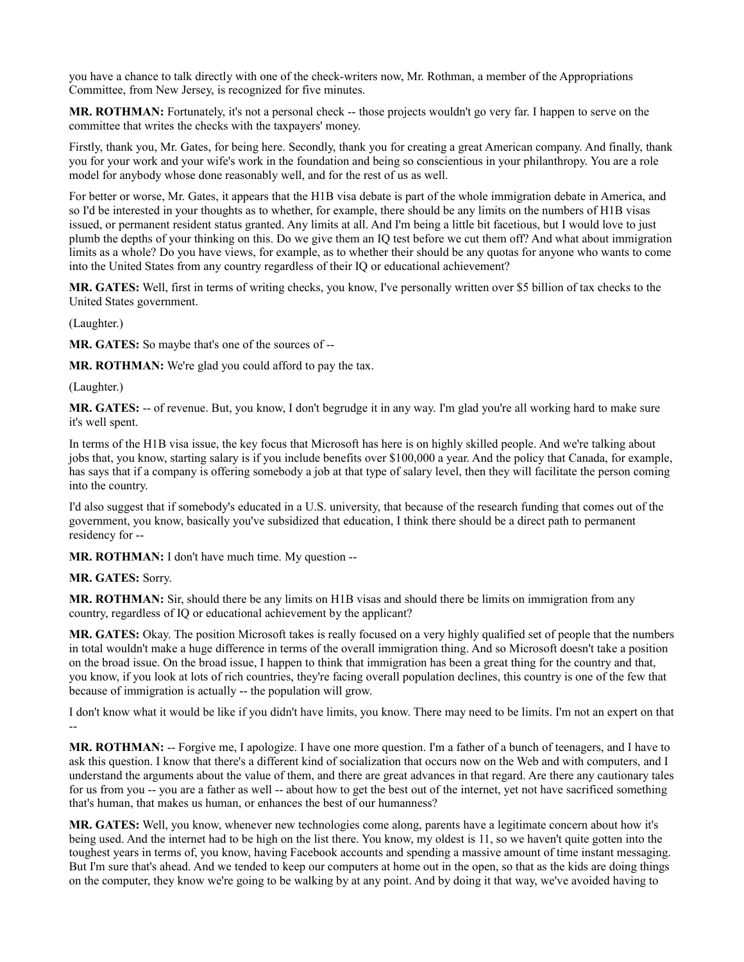you have a chance to talk directly with one of the check-writers now, Mr. Rothman, a member of the Appropriations Committee, from New Jersey, is recognized for five minutes.

**MR. ROTHMAN:** Fortunately, it's not a personal check -- those projects wouldn't go very far. I happen to serve on the committee that writes the checks with the taxpayers' money.

Firstly, thank you, Mr. Gates, for being here. Secondly, thank you for creating a great American company. And finally, thank you for your work and your wife's work in the foundation and being so conscientious in your philanthropy. You are a role model for anybody whose done reasonably well, and for the rest of us as well.

For better or worse, Mr. Gates, it appears that the H1B visa debate is part of the whole immigration debate in America, and so I'd be interested in your thoughts as to whether, for example, there should be any limits on the numbers of H1B visas issued, or permanent resident status granted. Any limits at all. And I'm being a little bit facetious, but I would love to just plumb the depths of your thinking on this. Do we give them an IQ test before we cut them off? And what about immigration limits as a whole? Do you have views, for example, as to whether their should be any quotas for anyone who wants to come into the United States from any country regardless of their IQ or educational achievement?

**MR. GATES:** Well, first in terms of writing checks, you know, I've personally written over \$5 billion of tax checks to the United States government.

(Laughter.)

**MR. GATES:** So maybe that's one of the sources of --

**MR. ROTHMAN:** We're glad you could afford to pay the tax.

(Laughter.)

**MR. GATES:** -- of revenue. But, you know, I don't begrudge it in any way. I'm glad you're all working hard to make sure it's well spent.

In terms of the H1B visa issue, the key focus that Microsoft has here is on highly skilled people. And we're talking about jobs that, you know, starting salary is if you include benefits over \$100,000 a year. And the policy that Canada, for example, has says that if a company is offering somebody a job at that type of salary level, then they will facilitate the person coming into the country.

I'd also suggest that if somebody's educated in a U.S. university, that because of the research funding that comes out of the government, you know, basically you've subsidized that education, I think there should be a direct path to permanent residency for --

**MR. ROTHMAN:** I don't have much time. My question --

# **MR. GATES:** Sorry.

**MR. ROTHMAN:** Sir, should there be any limits on H1B visas and should there be limits on immigration from any country, regardless of IQ or educational achievement by the applicant?

**MR. GATES:** Okay. The position Microsoft takes is really focused on a very highly qualified set of people that the numbers in total wouldn't make a huge difference in terms of the overall immigration thing. And so Microsoft doesn't take a position on the broad issue. On the broad issue, I happen to think that immigration has been a great thing for the country and that, you know, if you look at lots of rich countries, they're facing overall population declines, this country is one of the few that because of immigration is actually -- the population will grow.

I don't know what it would be like if you didn't have limits, you know. There may need to be limits. I'm not an expert on that --

**MR. ROTHMAN:** -- Forgive me, I apologize. I have one more question. I'm a father of a bunch of teenagers, and I have to ask this question. I know that there's a different kind of socialization that occurs now on the Web and with computers, and I understand the arguments about the value of them, and there are great advances in that regard. Are there any cautionary tales for us from you -- you are a father as well -- about how to get the best out of the internet, yet not have sacrificed something that's human, that makes us human, or enhances the best of our humanness?

**MR. GATES:** Well, you know, whenever new technologies come along, parents have a legitimate concern about how it's being used. And the internet had to be high on the list there. You know, my oldest is 11, so we haven't quite gotten into the toughest years in terms of, you know, having Facebook accounts and spending a massive amount of time instant messaging. But I'm sure that's ahead. And we tended to keep our computers at home out in the open, so that as the kids are doing things on the computer, they know we're going to be walking by at any point. And by doing it that way, we've avoided having to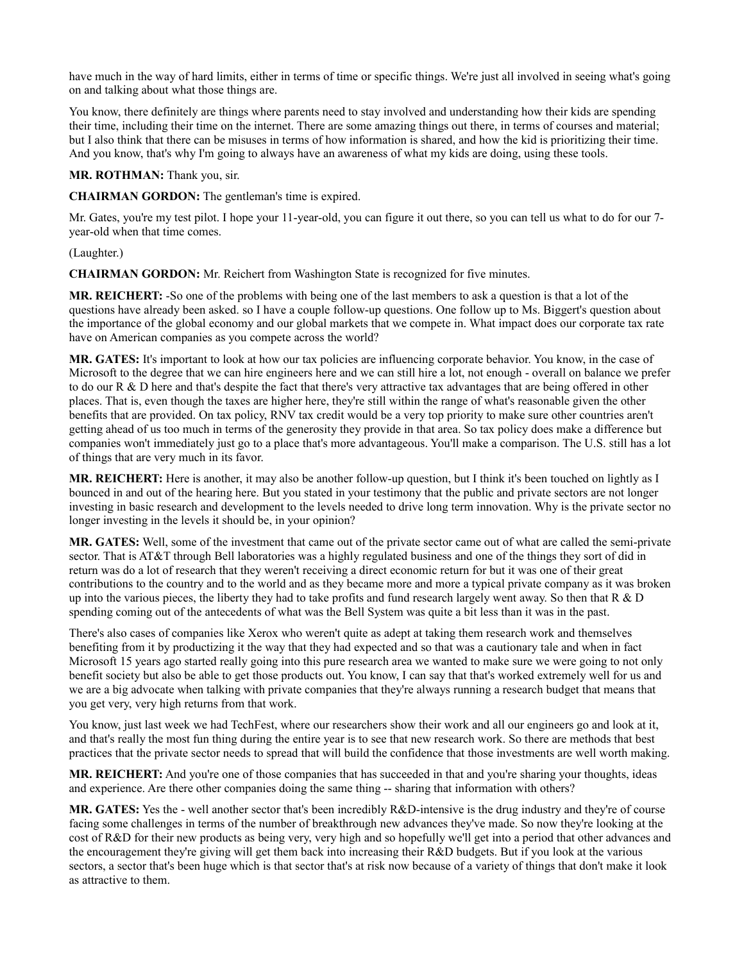have much in the way of hard limits, either in terms of time or specific things. We're just all involved in seeing what's going on and talking about what those things are.

You know, there definitely are things where parents need to stay involved and understanding how their kids are spending their time, including their time on the internet. There are some amazing things out there, in terms of courses and material; but I also think that there can be misuses in terms of how information is shared, and how the kid is prioritizing their time. And you know, that's why I'm going to always have an awareness of what my kids are doing, using these tools.

**MR. ROTHMAN:** Thank you, sir.

**CHAIRMAN GORDON:** The gentleman's time is expired.

Mr. Gates, you're my test pilot. I hope your 11-year-old, you can figure it out there, so you can tell us what to do for our 7year-old when that time comes.

(Laughter.)

**CHAIRMAN GORDON:** Mr. Reichert from Washington State is recognized for five minutes.

**MR. REICHERT:** -So one of the problems with being one of the last members to ask a question is that a lot of the questions have already been asked. so I have a couple follow-up questions. One follow up to Ms. Biggert's question about the importance of the global economy and our global markets that we compete in. What impact does our corporate tax rate have on American companies as you compete across the world?

**MR. GATES:** It's important to look at how our tax policies are influencing corporate behavior. You know, in the case of Microsoft to the degree that we can hire engineers here and we can still hire a lot, not enough - overall on balance we prefer to do our R & D here and that's despite the fact that there's very attractive tax advantages that are being offered in other places. That is, even though the taxes are higher here, they're still within the range of what's reasonable given the other benefits that are provided. On tax policy, RNV tax credit would be a very top priority to make sure other countries aren't getting ahead of us too much in terms of the generosity they provide in that area. So tax policy does make a difference but companies won't immediately just go to a place that's more advantageous. You'll make a comparison. The U.S. still has a lot of things that are very much in its favor.

**MR. REICHERT:** Here is another, it may also be another follow-up question, but I think it's been touched on lightly as I bounced in and out of the hearing here. But you stated in your testimony that the public and private sectors are not longer investing in basic research and development to the levels needed to drive long term innovation. Why is the private sector no longer investing in the levels it should be, in your opinion?

**MR. GATES:** Well, some of the investment that came out of the private sector came out of what are called the semi-private sector. That is AT&T through Bell laboratories was a highly regulated business and one of the things they sort of did in return was do a lot of research that they weren't receiving a direct economic return for but it was one of their great contributions to the country and to the world and as they became more and more a typical private company as it was broken up into the various pieces, the liberty they had to take profits and fund research largely went away. So then that  $R \& D$ spending coming out of the antecedents of what was the Bell System was quite a bit less than it was in the past.

There's also cases of companies like Xerox who weren't quite as adept at taking them research work and themselves benefiting from it by productizing it the way that they had expected and so that was a cautionary tale and when in fact Microsoft 15 years ago started really going into this pure research area we wanted to make sure we were going to not only benefit society but also be able to get those products out. You know, I can say that that's worked extremely well for us and we are a big advocate when talking with private companies that they're always running a research budget that means that you get very, very high returns from that work.

You know, just last week we had TechFest, where our researchers show their work and all our engineers go and look at it, and that's really the most fun thing during the entire year is to see that new research work. So there are methods that best practices that the private sector needs to spread that will build the confidence that those investments are well worth making.

**MR. REICHERT:** And you're one of those companies that has succeeded in that and you're sharing your thoughts, ideas and experience. Are there other companies doing the same thing -- sharing that information with others?

**MR. GATES:** Yes the - well another sector that's been incredibly R&D-intensive is the drug industry and they're of course facing some challenges in terms of the number of breakthrough new advances they've made. So now they're looking at the cost of R&D for their new products as being very, very high and so hopefully we'll get into a period that other advances and the encouragement they're giving will get them back into increasing their R&D budgets. But if you look at the various sectors, a sector that's been huge which is that sector that's at risk now because of a variety of things that don't make it look as attractive to them.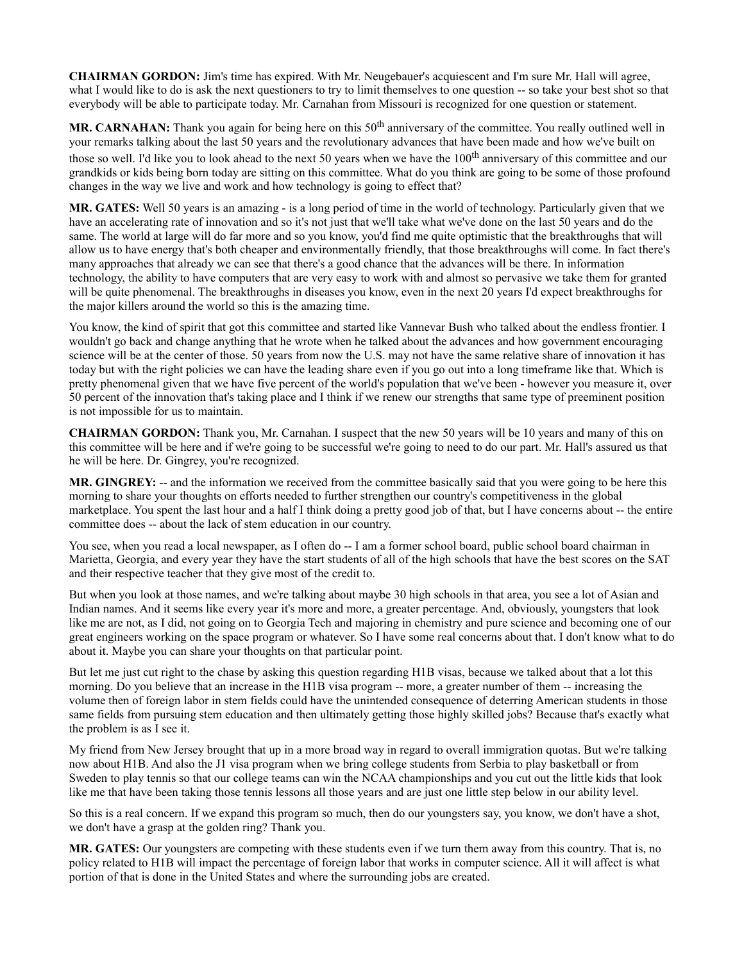**CHAIRMAN GORDON:** Jim's time has expired. With Mr. Neugebauer's acquiescent and I'm sure Mr. Hall will agree, what I would like to do is ask the next questioners to try to limit themselves to one question -- so take your best shot so that everybody will be able to participate today. Mr. Carnahan from Missouri is recognized for one question or statement.

**MR. CARNAHAN:** Thank you again for being here on this 50<sup>th</sup> anniversary of the committee. You really outlined well in your remarks talking about the last 50 years and the revolutionary advances that have been made and how we've built on those so well. I'd like you to look ahead to the next 50 years when we have the 100<sup>th</sup> anniversary of this committee and our grandkids or kids being born today are sitting on this committee. What do you think are going to be some of those profound changes in the way we live and work and how technology is going to effect that?

**MR. GATES:** Well 50 years is an amazing - is a long period of time in the world of technology. Particularly given that we have an accelerating rate of innovation and so it's not just that we'll take what we've done on the last 50 years and do the same. The world at large will do far more and so you know, you'd find me quite optimistic that the breakthroughs that will allow us to have energy that's both cheaper and environmentally friendly, that those breakthroughs will come. In fact there's many approaches that already we can see that there's a good chance that the advances will be there. In information technology, the ability to have computers that are very easy to work with and almost so pervasive we take them for granted will be quite phenomenal. The breakthroughs in diseases you know, even in the next 20 years I'd expect breakthroughs for the major killers around the world so this is the amazing time.

You know, the kind of spirit that got this committee and started like Vannevar Bush who talked about the endless frontier. I wouldn't go back and change anything that he wrote when he talked about the advances and how government encouraging science will be at the center of those. 50 years from now the U.S. may not have the same relative share of innovation it has today but with the right policies we can have the leading share even if you go out into a long timeframe like that. Which is pretty phenomenal given that we have five percent of the world's population that we've been - however you measure it, over 50 percent of the innovation that's taking place and I think if we renew our strengths that same type of preeminent position is not impossible for us to maintain.

**CHAIRMAN GORDON:** Thank you, Mr. Carnahan. I suspect that the new 50 years will be 10 years and many of this on this committee will be here and if we're going to be successful we're going to need to do our part. Mr. Hall's assured us that he will be here. Dr. Gingrey, you're recognized.

**MR. GINGREY:** -- and the information we received from the committee basically said that you were going to be here this morning to share your thoughts on efforts needed to further strengthen our country's competitiveness in the global marketplace. You spent the last hour and a half I think doing a pretty good job of that, but I have concerns about -- the entire committee does -- about the lack of stem education in our country.

You see, when you read a local newspaper, as I often do -- I am a former school board, public school board chairman in Marietta, Georgia, and every year they have the start students of all of the high schools that have the best scores on the SAT and their respective teacher that they give most of the credit to.

But when you look at those names, and we're talking about maybe 30 high schools in that area, you see a lot of Asian and Indian names. And it seems like every year it's more and more, a greater percentage. And, obviously, youngsters that look like me are not, as I did, not going on to Georgia Tech and majoring in chemistry and pure science and becoming one of our great engineers working on the space program or whatever. So I have some real concerns about that. I don't know what to do about it. Maybe you can share your thoughts on that particular point.

But let me just cut right to the chase by asking this question regarding H1B visas, because we talked about that a lot this morning. Do you believe that an increase in the H1B visa program -- more, a greater number of them -- increasing the volume then of foreign labor in stem fields could have the unintended consequence of deterring American students in those same fields from pursuing stem education and then ultimately getting those highly skilled jobs? Because that's exactly what the problem is as I see it.

My friend from New Jersey brought that up in a more broad way in regard to overall immigration quotas. But we're talking now about H1B. And also the J1 visa program when we bring college students from Serbia to play basketball or from Sweden to play tennis so that our college teams can win the NCAA championships and you cut out the little kids that look like me that have been taking those tennis lessons all those years and are just one little step below in our ability level.

So this is a real concern. If we expand this program so much, then do our youngsters say, you know, we don't have a shot, we don't have a grasp at the golden ring? Thank you.

**MR. GATES:** Our youngsters are competing with these students even if we turn them away from this country. That is, no policy related to H1B will impact the percentage of foreign labor that works in computer science. All it will affect is what portion of that is done in the United States and where the surrounding jobs are created.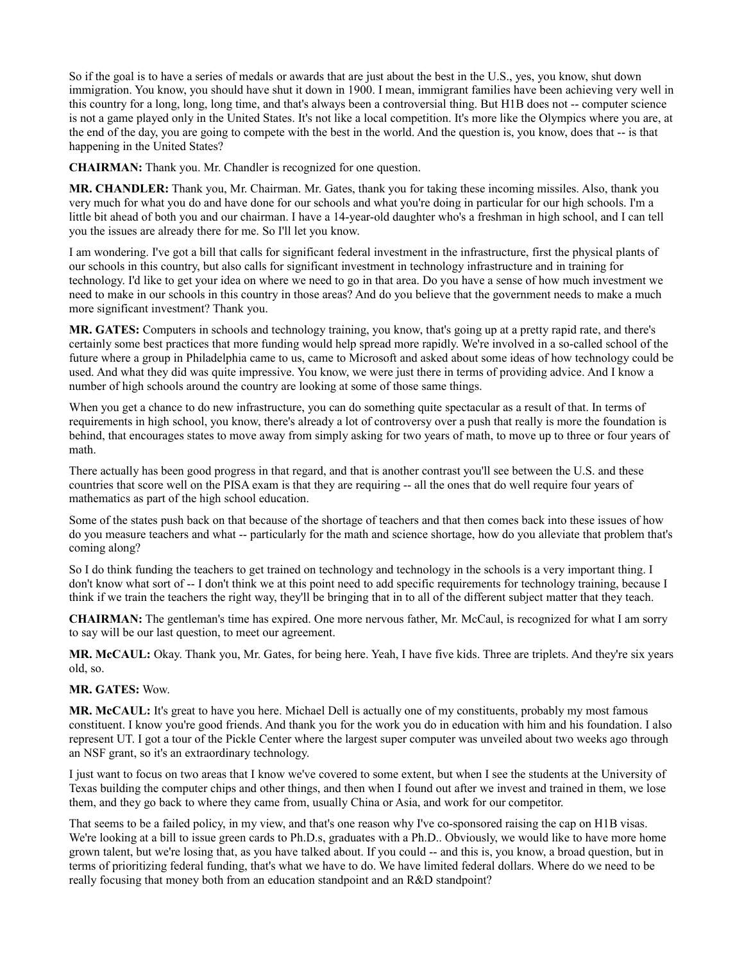So if the goal is to have a series of medals or awards that are just about the best in the U.S., yes, you know, shut down immigration. You know, you should have shut it down in 1900. I mean, immigrant families have been achieving very well in this country for a long, long, long time, and that's always been a controversial thing. But H1B does not -- computer science is not a game played only in the United States. It's not like a local competition. It's more like the Olympics where you are, at the end of the day, you are going to compete with the best in the world. And the question is, you know, does that -- is that happening in the United States?

**CHAIRMAN:** Thank you. Mr. Chandler is recognized for one question.

**MR. CHANDLER:** Thank you, Mr. Chairman. Mr. Gates, thank you for taking these incoming missiles. Also, thank you very much for what you do and have done for our schools and what you're doing in particular for our high schools. I'm a little bit ahead of both you and our chairman. I have a 14-year-old daughter who's a freshman in high school, and I can tell you the issues are already there for me. So I'll let you know.

I am wondering. I've got a bill that calls for significant federal investment in the infrastructure, first the physical plants of our schools in this country, but also calls for significant investment in technology infrastructure and in training for technology. I'd like to get your idea on where we need to go in that area. Do you have a sense of how much investment we need to make in our schools in this country in those areas? And do you believe that the government needs to make a much more significant investment? Thank you.

**MR. GATES:** Computers in schools and technology training, you know, that's going up at a pretty rapid rate, and there's certainly some best practices that more funding would help spread more rapidly. We're involved in a so-called school of the future where a group in Philadelphia came to us, came to Microsoft and asked about some ideas of how technology could be used. And what they did was quite impressive. You know, we were just there in terms of providing advice. And I know a number of high schools around the country are looking at some of those same things.

When you get a chance to do new infrastructure, you can do something quite spectacular as a result of that. In terms of requirements in high school, you know, there's already a lot of controversy over a push that really is more the foundation is behind, that encourages states to move away from simply asking for two years of math, to move up to three or four years of math.

There actually has been good progress in that regard, and that is another contrast you'll see between the U.S. and these countries that score well on the PISA exam is that they are requiring -- all the ones that do well require four years of mathematics as part of the high school education.

Some of the states push back on that because of the shortage of teachers and that then comes back into these issues of how do you measure teachers and what -- particularly for the math and science shortage, how do you alleviate that problem that's coming along?

So I do think funding the teachers to get trained on technology and technology in the schools is a very important thing. I don't know what sort of -- I don't think we at this point need to add specific requirements for technology training, because I think if we train the teachers the right way, they'll be bringing that in to all of the different subject matter that they teach.

**CHAIRMAN:** The gentleman's time has expired. One more nervous father, Mr. McCaul, is recognized for what I am sorry to say will be our last question, to meet our agreement.

**MR. McCAUL:** Okay. Thank you, Mr. Gates, for being here. Yeah, I have five kids. Three are triplets. And they're six years old, so.

# **MR. GATES:** Wow.

**MR. McCAUL:** It's great to have you here. Michael Dell is actually one of my constituents, probably my most famous constituent. I know you're good friends. And thank you for the work you do in education with him and his foundation. I also represent UT. I got a tour of the Pickle Center where the largest super computer was unveiled about two weeks ago through an NSF grant, so it's an extraordinary technology.

I just want to focus on two areas that I know we've covered to some extent, but when I see the students at the University of Texas building the computer chips and other things, and then when I found out after we invest and trained in them, we lose them, and they go back to where they came from, usually China or Asia, and work for our competitor.

That seems to be a failed policy, in my view, and that's one reason why I've co-sponsored raising the cap on H1B visas. We're looking at a bill to issue green cards to Ph.D.s, graduates with a Ph.D.. Obviously, we would like to have more home grown talent, but we're losing that, as you have talked about. If you could -- and this is, you know, a broad question, but in terms of prioritizing federal funding, that's what we have to do. We have limited federal dollars. Where do we need to be really focusing that money both from an education standpoint and an R&D standpoint?